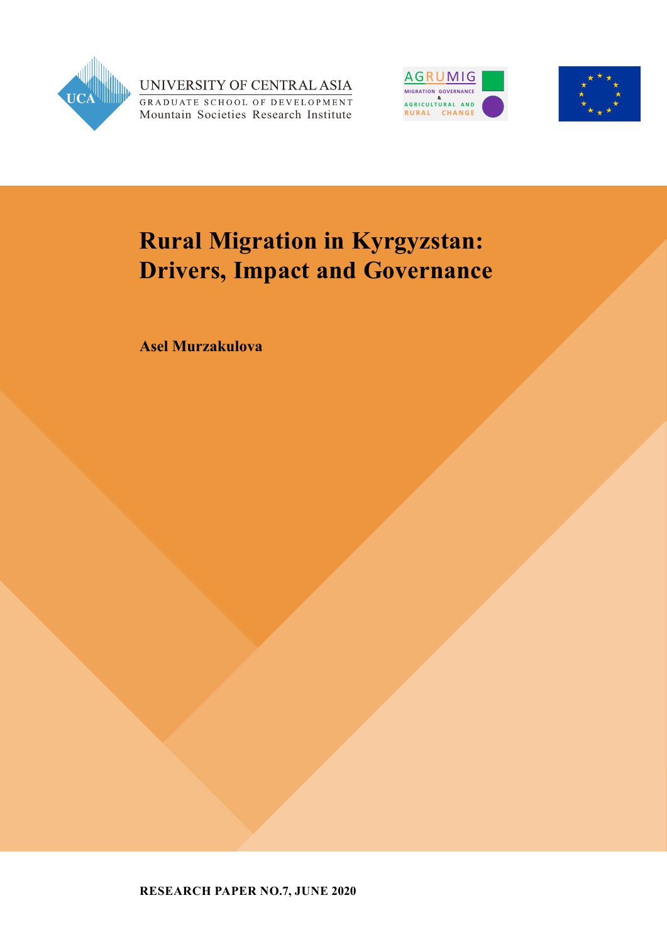

UNIVERSITY OF CENTRAL ASIA GRADUATE SCHOOL OF DEVELOPMENT Mountain Societies Research Institute





# **Rural Migration in Kyrgyzstan: Drivers, Impact and Governance**

**Asel Murzakulova**

**RESEARCH PAPER NO.7, JUNE 2020**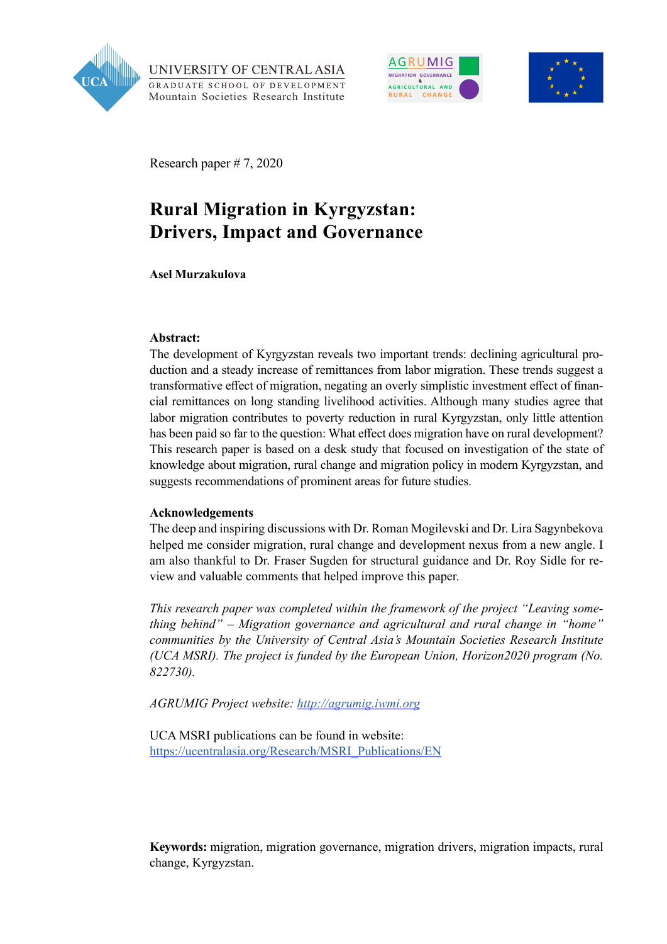

UNIVERSITY OF CENTRAL ASIA GRADUATE SCHOOL OF DEVELOPMENT Mountain Societies Research Institute





Research paper # 7, 2020

## **Rural Migration in Kyrgyzstan: Drivers, Impact and Governance**

**Asel Murzakulova**

#### **Abstract:**

The development of Kyrgyzstan reveals two important trends: declining agricultural production and a steady increase of remittances from labor migration. These trends suggest a transformative effect of migration, negating an overly simplistic investment effect of financial remittances on long standing livelihood activities. Although many studies agree that labor migration contributes to poverty reduction in rural Kyrgyzstan, only little attention has been paid so far to the question: What effect does migration have on rural development? This research paper is based on a desk study that focused on investigation of the state of knowledge about migration, rural change and migration policy in modern Kyrgyzstan, and suggests recommendations of prominent areas for future studies.

#### **Acknowledgements**

The deep and inspiring discussions with Dr. Roman Mogilevski and Dr. Lira Sagynbekova helped me consider migration, rural change and development nexus from a new angle. I am also thankful to Dr. Fraser Sugden for structural guidance and Dr. Roy Sidle for review and valuable comments that helped improve this paper.

*This research paper was completed within the framework of the project "Leaving something behind" – Migration governance and agricultural and rural change in "home" communities by the University of Central Asia's Mountain Societies Research Institute (UCA MSRI). The project is funded by the European Union, Horizon2020 program (No. 822730).*

*AGRUMIG Project website:<http://agrumig.iwmi.org>*

UCA MSRI publications can be found in website: [https://ucentralasia.org/Research/MSRI\\_Publications/EN](https://ucentralasia.org/Research/MSRI_Publications/EN)

**Keywords:** migration, migration governance, migration drivers, migration impacts, rural change, Kyrgyzstan.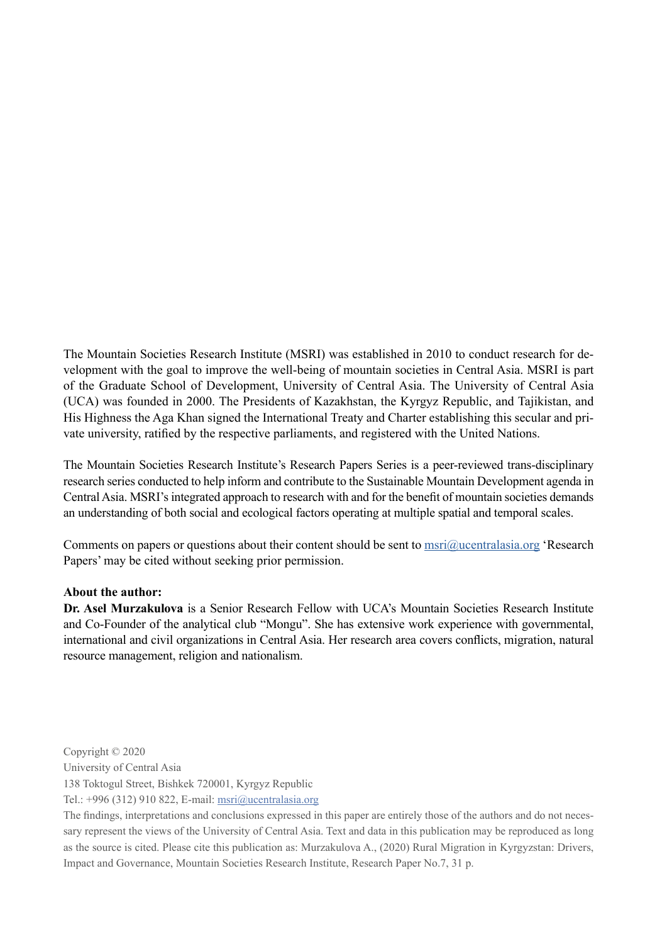The Mountain Societies Research Institute (MSRI) was established in 2010 to conduct research for development with the goal to improve the well-being of mountain societies in Central Asia. MSRI is part of the Graduate School of Development, University of Central Asia. The University of Central Asia (UCA) was founded in 2000. The Presidents of Kazakhstan, the Kyrgyz Republic, and Tajikistan, and His Highness the Aga Khan signed the International Treaty and Charter establishing this secular and private university, ratified by the respective parliaments, and registered with the United Nations.

The Mountain Societies Research Institute's Research Papers Series is a peer-reviewed trans-disciplinary research series conducted to help inform and contribute to the Sustainable Mountain Development agenda in Central Asia. MSRI's integrated approach to research with and for the benefit of mountain societies demands an understanding of both social and ecological factors operating at multiple spatial and temporal scales.

Comments on papers or questions about their content should be sent to  $msri@ucentralasia.org$  'Research' Papers' may be cited without seeking prior permission.

#### **About the author:**

**Dr. Asel Murzakulova** is a Senior Research Fellow with UCA's Mountain Societies Research Institute and Co-Founder of the analytical club "Mongu". She has extensive work experience with governmental, international and civil organizations in Central Asia. Her research area covers conflicts, migration, natural resource management, religion and nationalism.

Copyright © 2020

University of Central Asia

138 Toktogul Street, Bishkek 720001, Kyrgyz Republic

Tel.: +996 (312) 910 822, E-mail: [msri@ucentralasia.org](mailto:msri@ucentralasia.org)

The findings, interpretations and conclusions expressed in this paper are entirely those of the authors and do not necessary represent the views of the University of Central Asia. Text and data in this publication may be reproduced as long as the source is cited. Please cite this publication as: Murzakulova A., (2020) Rural Migration in Kyrgyzstan: Drivers, Impact and Governance, Mountain Societies Research Institute, Research Paper No.7, 31 p.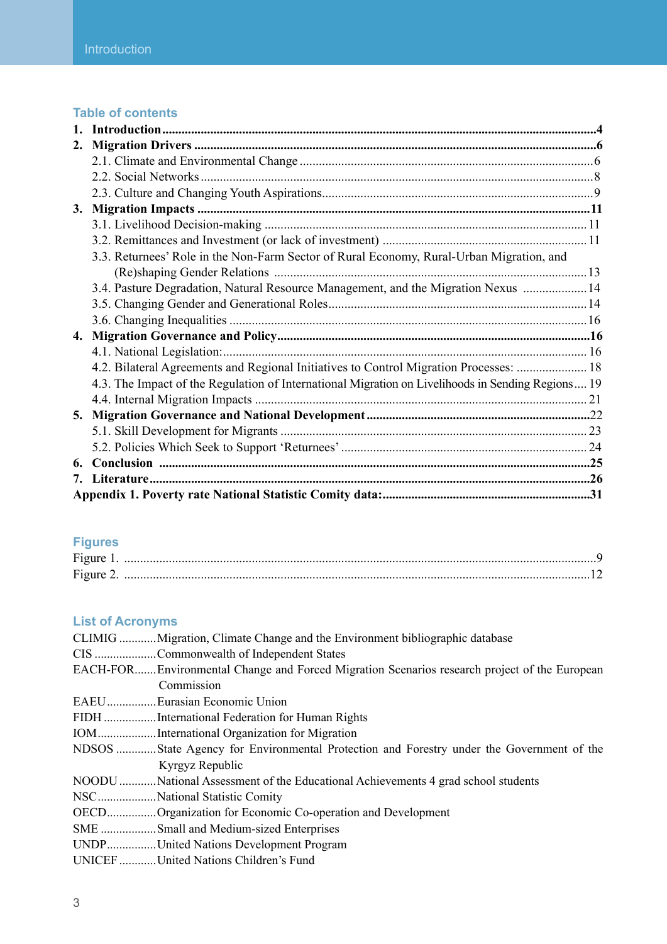#### **Table of contents**

| 2. |                                                                                                   |  |
|----|---------------------------------------------------------------------------------------------------|--|
|    |                                                                                                   |  |
|    |                                                                                                   |  |
|    |                                                                                                   |  |
|    |                                                                                                   |  |
|    |                                                                                                   |  |
|    |                                                                                                   |  |
|    | 3.3. Returnees' Role in the Non-Farm Sector of Rural Economy, Rural-Urban Migration, and          |  |
|    |                                                                                                   |  |
|    | 3.4. Pasture Degradation, Natural Resource Management, and the Migration Nexus  14                |  |
|    |                                                                                                   |  |
|    |                                                                                                   |  |
|    |                                                                                                   |  |
|    |                                                                                                   |  |
|    | 4.2. Bilateral Agreements and Regional Initiatives to Control Migration Processes:  18            |  |
|    | 4.3. The Impact of the Regulation of International Migration on Livelihoods in Sending Regions 19 |  |
|    |                                                                                                   |  |
|    |                                                                                                   |  |
|    |                                                                                                   |  |
|    |                                                                                                   |  |
| 6. |                                                                                                   |  |
| 7. |                                                                                                   |  |
|    |                                                                                                   |  |

## **Figures**

| Figure 2. |  |
|-----------|--|

## **List of Acronyms**

| CLIMIG Migration, Climate Change and the Environment bibliographic database                  |
|----------------------------------------------------------------------------------------------|
| CIS Commonwealth of Independent States                                                       |
| EACH-FOREnvironmental Change and Forced Migration Scenarios research project of the European |
| Commission                                                                                   |
| EAEUEurasian Economic Union                                                                  |
| FIDH International Federation for Human Rights                                               |
| IOMInternational Organization for Migration                                                  |
| NDSOS State Agency for Environmental Protection and Forestry under the Government of the     |
| Kyrgyz Republic                                                                              |
| NOODU  National Assessment of the Educational Achievements 4 grad school students            |
| NSCNational Statistic Comity                                                                 |
| OECDOrganization for Economic Co-operation and Development                                   |
| SME Small and Medium-sized Enterprises                                                       |
| UNDPUnited Nations Development Program                                                       |
| UNICEF United Nations Children's Fund                                                        |
|                                                                                              |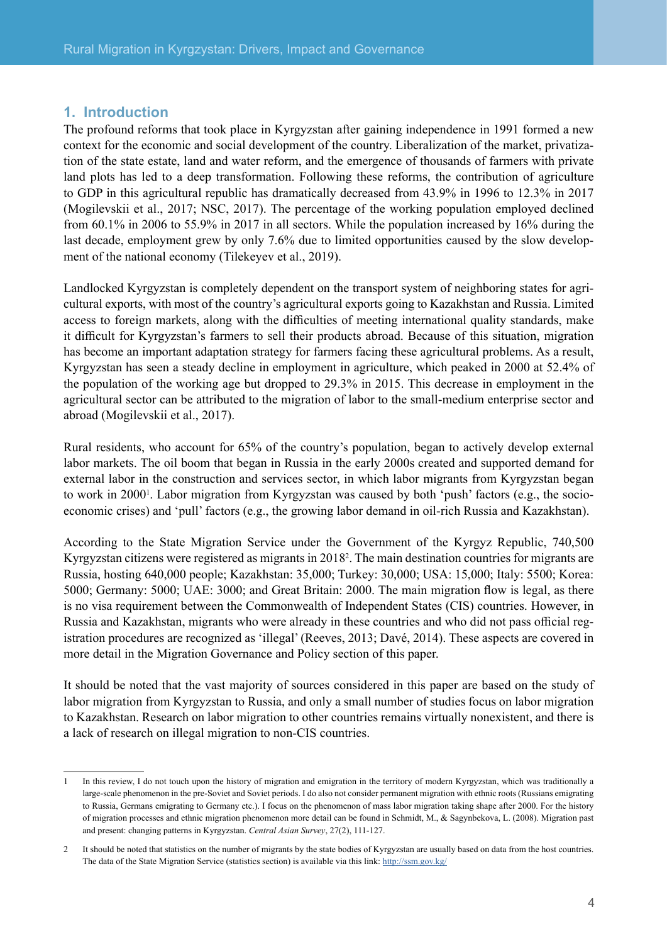#### <span id="page-4-0"></span>**1. Introduction**

The profound reforms that took place in Kyrgyzstan after gaining independence in 1991 formed a new context for the economic and social development of the country. Liberalization of the market, privatization of the state estate, land and water reform, and the emergence of thousands of farmers with private land plots has led to a deep transformation. Following these reforms, the contribution of agriculture to GDP in this agricultural republic has dramatically decreased from 43.9% in 1996 to 12.3% in 2017 (Mogilevskii et al., 2017; NSC, 2017). The percentage of the working population employed declined from 60.1% in 2006 to 55.9% in 2017 in all sectors. While the population increased by 16% during the last decade, employment grew by only 7.6% due to limited opportunities caused by the slow development of the national economy (Tilekeyev et al., 2019).

Landlocked Kyrgyzstan is completely dependent on the transport system of neighboring states for agricultural exports, with most of the country's agricultural exports going to Kazakhstan and Russia. Limited access to foreign markets, along with the difficulties of meeting international quality standards, make it difficult for Kyrgyzstan's farmers to sell their products abroad. Because of this situation, migration has become an important adaptation strategy for farmers facing these agricultural problems. As a result, Kyrgyzstan has seen a steady decline in employment in agriculture, which peaked in 2000 at 52.4% of the population of the working age but dropped to 29.3% in 2015. This decrease in employment in the agricultural sector can be attributed to the migration of labor to the small-medium enterprise sector and abroad (Mogilevskii et al., 2017).

Rural residents, who account for 65% of the country's population, began to actively develop external labor markets. The oil boom that began in Russia in the early 2000s created and supported demand for external labor in the construction and services sector, in which labor migrants from Kyrgyzstan began to work in 2000<sup>1</sup>. Labor migration from Kyrgyzstan was caused by both 'push' factors (e.g., the socioeconomic crises) and 'pull' factors (e.g., the growing labor demand in oil-rich Russia and Kazakhstan).

According to the State Migration Service under the Government of the Kyrgyz Republic, 740,500 Kyrgyzstan citizens were registered as migrants in 20182 . The main destination countries for migrants are Russia, hosting 640,000 people; Kazakhstan: 35,000; Turkey: 30,000; USA: 15,000; Italy: 5500; Korea: 5000; Germany: 5000; UAE: 3000; and Great Britain: 2000. The main migration flow is legal, as there is no visa requirement between the Commonwealth of Independent States (CIS) countries. However, in Russia and Kazakhstan, migrants who were already in these countries and who did not pass official registration procedures are recognized as 'illegal' (Reeves, 2013; Davé, 2014). These aspects are covered in more detail in the Migration Governance and Policy section of this paper.

It should be noted that the vast majority of sources considered in this paper are based on the study of labor migration from Kyrgyzstan to Russia, and only a small number of studies focus on labor migration to Kazakhstan. Research on labor migration to other countries remains virtually nonexistent, and there is a lack of research on illegal migration to non-CIS countries.

<sup>1</sup> In this review, I do not touch upon the history of migration and emigration in the territory of modern Kyrgyzstan, which was traditionally a large-scale phenomenon in the pre-Soviet and Soviet periods. I do also not consider permanent migration with ethnic roots (Russians emigrating to Russia, Germans emigrating to Germany etc.). I focus on the phenomenon of mass labor migration taking shape after 2000. For the history of migration processes and ethnic migration phenomenon more detail can be found in Schmidt, M., & Sagynbekova, L. (2008). Migration past and present: changing patterns in Kyrgyzstan. *Central Asian Survey*, 27(2), 111-127.

<sup>2</sup> It should be noted that statistics on the number of migrants by the state bodies of Kyrgyzstan are usually based on data from the host countries. The data of the State Migration Service (statistics section) is available via this link: <http://ssm.gov.kg/>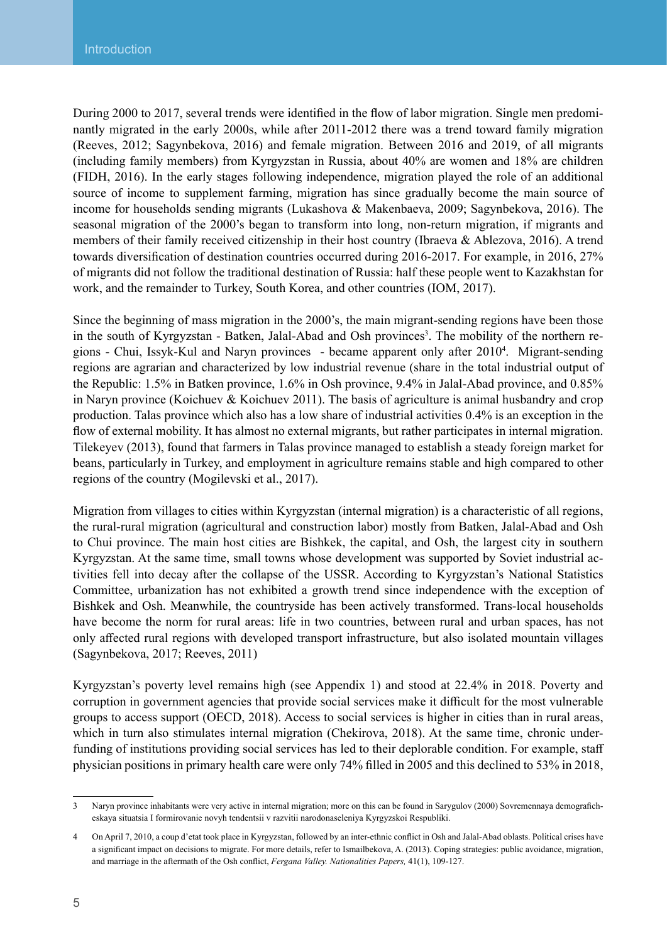During 2000 to 2017, several trends were identified in the flow of labor migration. Single men predominantly migrated in the early 2000s, while after 2011-2012 there was a trend toward family migration (Reeves, 2012; Sagynbekova, 2016) and female migration. Between 2016 and 2019, of all migrants (including family members) from Kyrgyzstan in Russia, about 40% are women and 18% are children (FIDH, 2016). In the early stages following independence, migration played the role of an additional source of income to supplement farming, migration has since gradually become the main source of income for households sending migrants (Lukashova & Makenbaeva, 2009; Sagynbekova, 2016). The seasonal migration of the 2000's began to transform into long, non-return migration, if migrants and members of their family received citizenship in their host country (Ibraeva & Ablezova, 2016). A trend towards diversification of destination countries occurred during 2016-2017. For example, in 2016, 27% of migrants did not follow the traditional destination of Russia: half these people went to Kazakhstan for work, and the remainder to Turkey, South Korea, and other countries (IOM, 2017).

Since the beginning of mass migration in the 2000's, the main migrant-sending regions have been those in the south of Kyrgyzstan - Batken, Jalal-Abad and Osh provinces<sup>3</sup>. The mobility of the northern regions - Chui, Issyk-Kul and Naryn provinces - became apparent only after 20104 . Migrant-sending regions are agrarian and characterized by low industrial revenue (share in the total industrial output of the Republic: 1.5% in Batken province, 1.6% in Osh province, 9.4% in Jalal-Abad province, and 0.85% in Naryn province (Koichuev & Koichuev 2011). The basis of agriculture is animal husbandry and crop production. Talas province which also has a low share of industrial activities 0.4% is an exception in the flow of external mobility. It has almost no external migrants, but rather participates in internal migration. Tilekeyev (2013), found that farmers in Talas province managed to establish a steady foreign market for beans, particularly in Turkey, and employment in agriculture remains stable and high compared to other regions of the country (Mogilevski et al., 2017).

Migration from villages to cities within Kyrgyzstan (internal migration) is a characteristic of all regions, the rural-rural migration (agricultural and construction labor) mostly from Batken, Jalal-Abad and Osh to Chui province. The main host cities are Bishkek, the capital, and Osh, the largest city in southern Kyrgyzstan. At the same time, small towns whose development was supported by Soviet industrial activities fell into decay after the collapse of the USSR. According to Kyrgyzstan's National Statistics Committee, urbanization has not exhibited a growth trend since independence with the exception of Bishkek and Osh. Meanwhile, the countryside has been actively transformed. Trans-local households have become the norm for rural areas: life in two countries, between rural and urban spaces, has not only affected rural regions with developed transport infrastructure, but also isolated mountain villages (Sagynbekova, 2017; Reeves, 2011)

Kyrgyzstan's poverty level remains high (see Appendix 1) and stood at 22.4% in 2018. Poverty and corruption in government agencies that provide social services make it difficult for the most vulnerable groups to access support (OECD, 2018). Access to social services is higher in cities than in rural areas, which in turn also stimulates internal migration (Chekirova, 2018). At the same time, chronic underfunding of institutions providing social services has led to their deplorable condition. For example, staff physician positions in primary health care were only 74% filled in 2005 and this declined to 53% in 2018,

<sup>3</sup> Naryn province inhabitants were very active in internal migration; more on this can be found in Sarygulov (2000) Sovremennaya demograficheskaya situatsia I formirovanie novyh tendentsii v razvitii narodonaseleniya Kyrgyzskoi Respubliki.

<sup>4</sup> On April 7, 2010, a coup d'etat took place in Kyrgyzstan, followed by an inter-ethnic conflict in Osh and Jalal-Abad oblasts. Political crises have a significant impact on decisions to migrate. For more details, refer to Ismailbekova, A. (2013). Coping strategies: public avoidance, migration, and marriage in the aftermath of the Osh conflict, *Fergana Valley. Nationalities Papers,* 41(1), 109-127.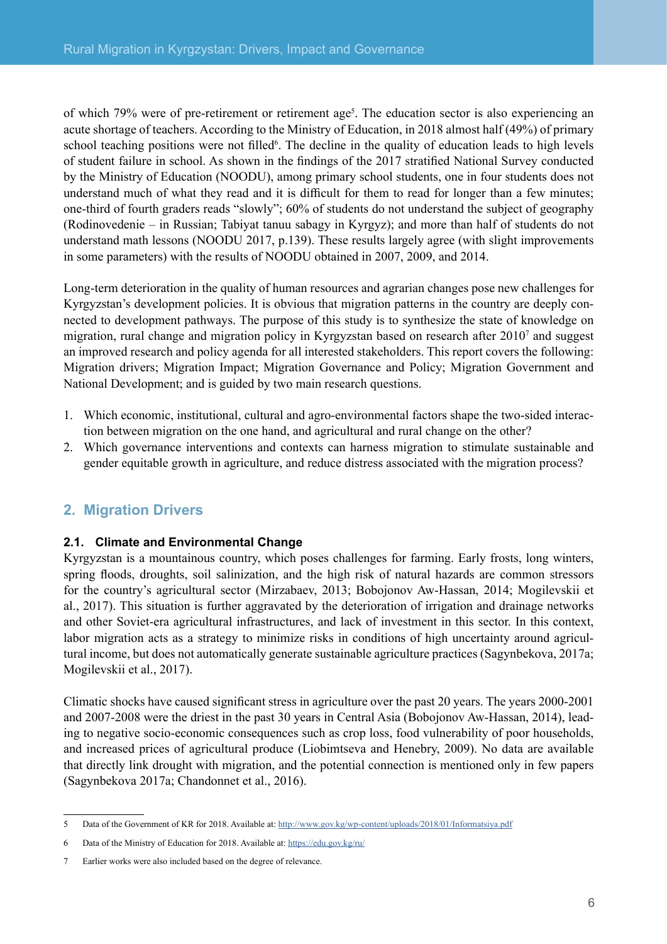<span id="page-6-0"></span>of which 79% were of pre-retirement or retirement age<sup>5</sup>. The education sector is also experiencing an acute shortage of teachers. According to the Ministry of Education, in 2018 almost half (49%) of primary school teaching positions were not filled<sup>6</sup>. The decline in the quality of education leads to high levels of student failure in school. As shown in the findings of the 2017 stratified National Survey conducted by the Ministry of Education (NOODU), among primary school students, one in four students does not understand much of what they read and it is difficult for them to read for longer than a few minutes; one-third of fourth graders reads "slowly"; 60% of students do not understand the subject of geography (Rodinovedenie – in Russian; Tabiyat tanuu sabagy in Kyrgyz); and more than half of students do not understand math lessons (NOODU 2017, p.139). These results largely agree (with slight improvements in some parameters) with the results of NOODU obtained in 2007, 2009, and 2014.

Long-term deterioration in the quality of human resources and agrarian changes pose new challenges for Kyrgyzstan's development policies. It is obvious that migration patterns in the country are deeply connected to development pathways. The purpose of this study is to synthesize the state of knowledge on migration, rural change and migration policy in Kyrgyzstan based on research after 2010<sup>7</sup> and suggest an improved research and policy agenda for all interested stakeholders. This report covers the following: Migration drivers; Migration Impact; Migration Governance and Policy; Migration Government and National Development; and is guided by two main research questions.

- 1. Which economic, institutional, cultural and agro-environmental factors shape the two-sided interaction between migration on the one hand, and agricultural and rural change on the other?
- 2. Which governance interventions and contexts can harness migration to stimulate sustainable and gender equitable growth in agriculture, and reduce distress associated with the migration process?

## **2. Migration Drivers**

#### **2.1. Climate and Environmental Change**

Kyrgyzstan is a mountainous country, which poses challenges for farming. Early frosts, long winters, spring floods, droughts, soil salinization, and the high risk of natural hazards are common stressors for the country's agricultural sector (Mirzabaev, 2013; Bobojonov Aw-Hassan, 2014; Mogilevskii et al., 2017). This situation is further aggravated by the deterioration of irrigation and drainage networks and other Soviet-era agricultural infrastructures, and lack of investment in this sector. In this context, labor migration acts as a strategy to minimize risks in conditions of high uncertainty around agricultural income, but does not automatically generate sustainable agriculture practices (Sagynbekova, 2017a; Mogilevskii et al., 2017).

Climatic shocks have caused significant stress in agriculture over the past 20 years. The years 2000-2001 and 2007-2008 were the driest in the past 30 years in Central Asia (Bobojonov Aw-Hassan, 2014), leading to negative socio-economic consequences such as crop loss, food vulnerability of poor households, and increased prices of agricultural produce (Liobimtseva and Henebry, 2009). No data are available that directly link drought with migration, and the potential connection is mentioned only in few papers (Sagynbekova 2017a; Chandonnet et al., 2016).

<sup>5</sup> Data of the Government of KR for 2018. Available at:<http://www.gov.kg/wp-content/uploads/2018/01/Informatsiya.pdf>

<sup>6</sup> Data of the Ministry of Education for 2018. Available at: <https://edu.gov.kg/ru/>

<sup>7</sup> Earlier works were also included based on the degree of relevance.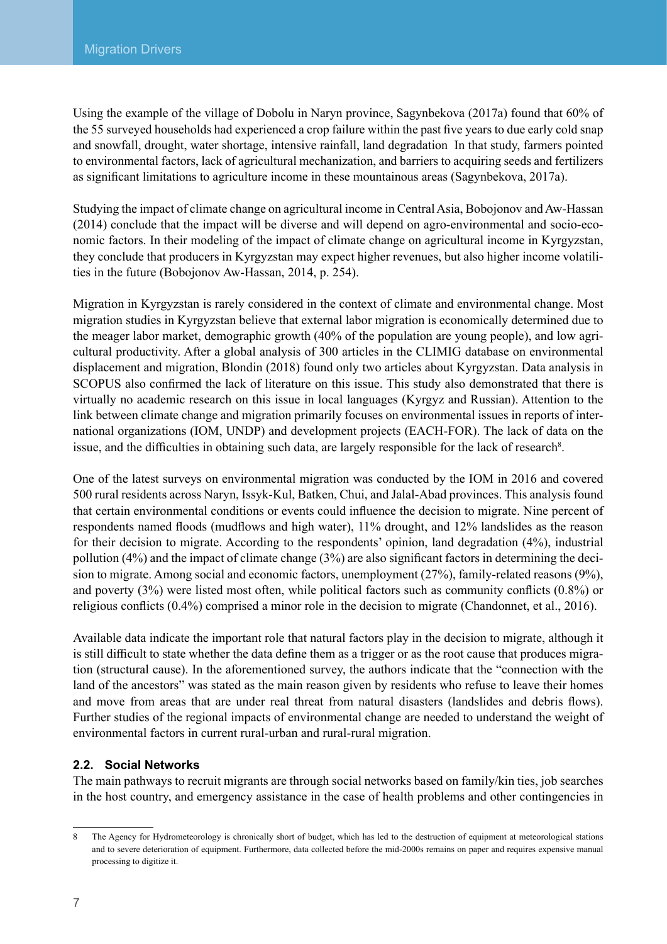Using the example of the village of Dobolu in Naryn province, Sagynbekova (2017a) found that 60% of the 55 surveyed households had experienced a crop failure within the past five years to due early cold snap and snowfall, drought, water shortage, intensive rainfall, land degradation In that study, farmers pointed to environmental factors, lack of agricultural mechanization, and barriers to acquiring seeds and fertilizers as significant limitations to agriculture income in these mountainous areas (Sagynbekova, 2017a).

Studying the impact of climate change on agricultural income in Central Asia, Bobojonov and Aw-Hassan (2014) conclude that the impact will be diverse and will depend on agro-environmental and socio-economic factors. In their modeling of the impact of climate change on agricultural income in Kyrgyzstan, they conclude that producers in Kyrgyzstan may expect higher revenues, but also higher income volatilities in the future (Bobojonov Aw-Hassan, 2014, p. 254).

Migration in Kyrgyzstan is rarely considered in the context of climate and environmental change. Most migration studies in Kyrgyzstan believe that external labor migration is economically determined due to the meager labor market, demographic growth (40% of the population are young people), and low agricultural productivity. After a global analysis of 300 articles in the CLIMIG database on environmental displacement and migration, Blondin (2018) found only two articles about Kyrgyzstan. Data analysis in SCOPUS also confirmed the lack of literature on this issue. This study also demonstrated that there is virtually no academic research on this issue in local languages (Kyrgyz and Russian). Attention to the link between climate change and migration primarily focuses on environmental issues in reports of international organizations (IOM, UNDP) and development projects (EACH-FOR). The lack of data on the issue, and the difficulties in obtaining such data, are largely responsible for the lack of research<sup>8</sup>.

One of the latest surveys on environmental migration was conducted by the IOM in 2016 and covered 500 rural residents across Naryn, Issyk-Kul, Batken, Chui, and Jalal-Abad provinces. This analysis found that certain environmental conditions or events could influence the decision to migrate. Nine percent of respondents named floods (mudflows and high water), 11% drought, and 12% landslides as the reason for their decision to migrate. According to the respondents' opinion, land degradation (4%), industrial pollution (4%) and the impact of climate change (3%) are also significant factors in determining the decision to migrate. Among social and economic factors, unemployment (27%), family-related reasons (9%), and poverty (3%) were listed most often, while political factors such as community conflicts (0.8%) or religious conflicts (0.4%) comprised a minor role in the decision to migrate (Chandonnet, et al., 2016).

Available data indicate the important role that natural factors play in the decision to migrate, although it is still difficult to state whether the data define them as a trigger or as the root cause that produces migration (structural cause). In the aforementioned survey, the authors indicate that the "connection with the land of the ancestors" was stated as the main reason given by residents who refuse to leave their homes and move from areas that are under real threat from natural disasters (landslides and debris flows). Further studies of the regional impacts of environmental change are needed to understand the weight of environmental factors in current rural-urban and rural-rural migration.

#### **2.2. Social Networks**

The main pathways to recruit migrants are through social networks based on family/kin ties, job searches in the host country, and emergency assistance in the case of health problems and other contingencies in

The Agency for Hydrometeorology is chronically short of budget, which has led to the destruction of equipment at meteorological stations and to severe deterioration of equipment. Furthermore, data collected before the mid-2000s remains on paper and requires expensive manual processing to digitize it.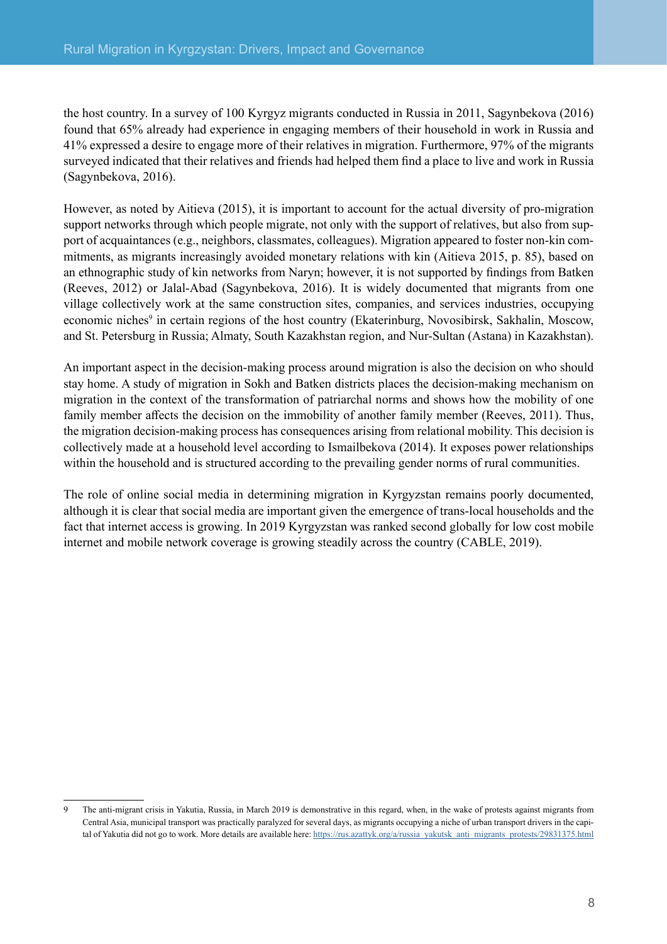<span id="page-8-0"></span>the host country. In a survey of 100 Kyrgyz migrants conducted in Russia in 2011, Sagynbekova (2016) found that 65% already had experience in engaging members of their household in work in Russia and 41% expressed a desire to engage more of their relatives in migration. Furthermore, 97% of the migrants surveyed indicated that their relatives and friends had helped them find a place to live and work in Russia (Sagynbekova, 2016).

However, as noted by Aitieva (2015), it is important to account for the actual diversity of pro-migration support networks through which people migrate, not only with the support of relatives, but also from support of acquaintances (e.g., neighbors, classmates, colleagues). Migration appeared to foster non-kin commitments, as migrants increasingly avoided monetary relations with kin (Aitieva 2015, p. 85), based on an ethnographic study of kin networks from Naryn; however, it is not supported by findings from Batken (Reeves, 2012) or Jalal-Abad (Sagynbekova, 2016). It is widely documented that migrants from one village collectively work at the same construction sites, companies, and services industries, occupying economic niches<sup>9</sup> in certain regions of the host country (Ekaterinburg, Novosibirsk, Sakhalin, Moscow, and St. Petersburg in Russia; Almaty, South Kazakhstan region, and Nur-Sultan (Astana) in Kazakhstan).

An important aspect in the decision-making process around migration is also the decision on who should stay home. A study of migration in Sokh and Batken districts places the decision-making mechanism on migration in the context of the transformation of patriarchal norms and shows how the mobility of one family member affects the decision on the immobility of another family member (Reeves, 2011). Thus, the migration decision-making process has consequences arising from relational mobility. This decision is collectively made at a household level according to Ismailbekova (2014). It exposes power relationships within the household and is structured according to the prevailing gender norms of rural communities.

The role of online social media in determining migration in Kyrgyzstan remains poorly documented, although it is clear that social media are important given the emergence of trans-local households and the fact that internet access is growing. In 2019 Kyrgyzstan was ranked second globally for low cost mobile internet and mobile network coverage is growing steadily across the country (CABLE, 2019).

<sup>9</sup> The anti-migrant crisis in Yakutia, Russia, in March 2019 is demonstrative in this regard, when, in the wake of protests against migrants from Central Asia, municipal transport was practically paralyzed for several days, as migrants occupying a niche of urban transport drivers in the capital of Yakutia did not go to work. More details are available here: [https://rus.azattyk.org/a/russia\\_yakutsk\\_anti\\_migrants\\_protests/29831375.html](https://rus.azattyk.org/a/russia_yakutsk_anti_migrants_protests/29831375.html)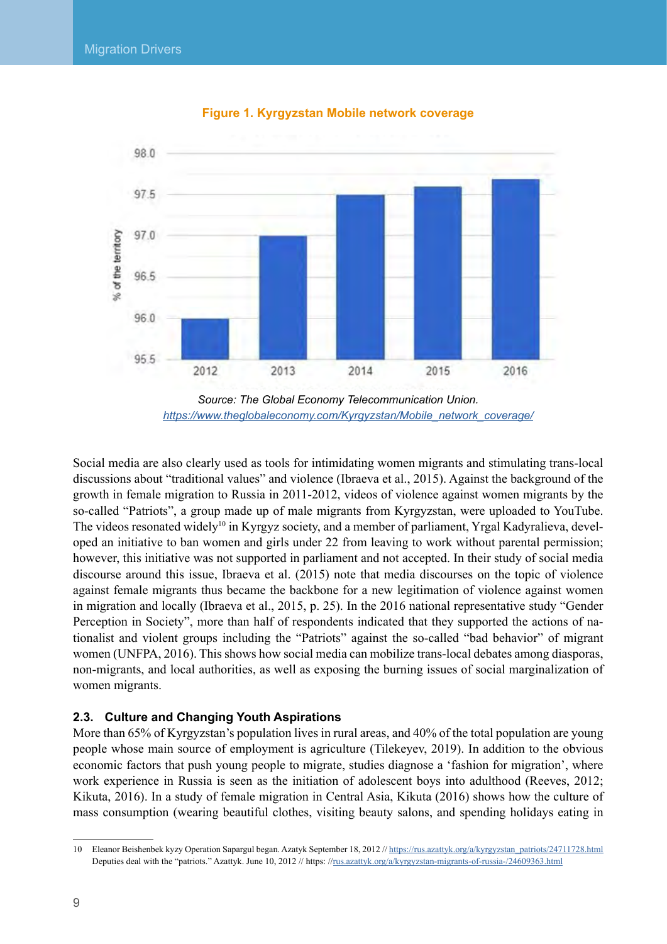<span id="page-9-0"></span>

**Figure 1. Kyrgyzstan Mobile network coverage**

*Source: The Global Economy Telecommunication Union. [https://www.theglobaleconomy.com/Kyrgyzstan/Mobile\\_network\\_coverage/](https://www.theglobaleconomy.com/Kyrgyzstan/Mobile_network_coverage/)*

Social media are also clearly used as tools for intimidating women migrants and stimulating trans-local discussions about "traditional values" and violence (Ibraeva et al., 2015). Against the background of the growth in female migration to Russia in 2011-2012, videos of violence against women migrants by the so-called "Patriots", a group made up of male migrants from Kyrgyzstan, were uploaded to YouTube. The videos resonated widely<sup>10</sup> in Kyrgyz society, and a member of parliament, Yrgal Kadyralieva, developed an initiative to ban women and girls under 22 from leaving to work without parental permission; however, this initiative was not supported in parliament and not accepted. In their study of social media discourse around this issue, Ibraeva et al. (2015) note that media discourses on the topic of violence against female migrants thus became the backbone for a new legitimation of violence against women in migration and locally (Ibraeva et al., 2015, p. 25). In the 2016 national representative study "Gender Perception in Society", more than half of respondents indicated that they supported the actions of nationalist and violent groups including the "Patriots" against the so-called "bad behavior" of migrant women (UNFPA, 2016). This shows how social media can mobilize trans-local debates among diasporas, non-migrants, and local authorities, as well as exposing the burning issues of social marginalization of women migrants.

#### **2.3. Culture and Changing Youth Aspirations**

More than 65% of Kyrgyzstan's population lives in rural areas, and 40% of the total population are young people whose main source of employment is agriculture (Tilekeyev, 2019). In addition to the obvious economic factors that push young people to migrate, studies diagnose a 'fashion for migration', where work experience in Russia is seen as the initiation of adolescent boys into adulthood (Reeves, 2012; Kikuta, 2016). In a study of female migration in Central Asia, Kikuta (2016) shows how the culture of mass consumption (wearing beautiful clothes, visiting beauty salons, and spending holidays eating in

<sup>10</sup> Eleanor Beishenbek kyzy Operation Sapargul began. Azatyk September 18, 2012 // [https://rus.azattyk.org/a/kyrgyzstan\\_patriots/24711728.html](https://rus.azattyk.org/a/kyrgyzstan_patriots/24711728.html) Deputies deal with the "patriots." Azattyk. June 10, 2012 // https: /[/rus.azattyk.org/a/kyrgyzstan-migrants-of-russia-/24609363.html](http://rus.azattyk.org/a/kyrgyzstan-migrants-of-russia-/24609363.html)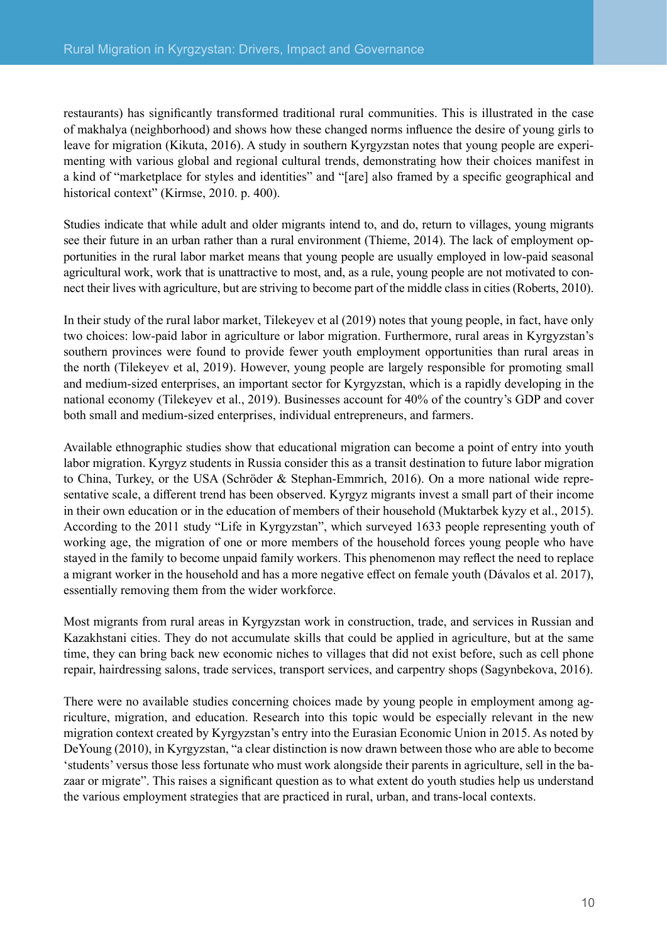restaurants) has significantly transformed traditional rural communities. This is illustrated in the case of makhalya (neighborhood) and shows how these changed norms influence the desire of young girls to leave for migration (Kikuta, 2016). A study in southern Kyrgyzstan notes that young people are experimenting with various global and regional cultural trends, demonstrating how their choices manifest in a kind of "marketplace for styles and identities" and "[are] also framed by a specific geographical and historical context" (Kirmse, 2010. p. 400).

Studies indicate that while adult and older migrants intend to, and do, return to villages, young migrants see their future in an urban rather than a rural environment (Thieme, 2014). The lack of employment opportunities in the rural labor market means that young people are usually employed in low-paid seasonal agricultural work, work that is unattractive to most, and, as a rule, young people are not motivated to connect their lives with agriculture, but are striving to become part of the middle class in cities (Roberts, 2010).

In their study of the rural labor market, Tilekeyev et al (2019) notes that young people, in fact, have only two choices: low-paid labor in agriculture or labor migration. Furthermore, rural areas in Kyrgyzstan's southern provinces were found to provide fewer youth employment opportunities than rural areas in the north (Tilekeyev et al, 2019). However, young people are largely responsible for promoting small and medium-sized enterprises, an important sector for Kyrgyzstan, which is a rapidly developing in the national economy (Tilekeyev et al., 2019). Businesses account for 40% of the country's GDP and cover both small and medium-sized enterprises, individual entrepreneurs, and farmers.

Available ethnographic studies show that educational migration can become a point of entry into youth labor migration. Kyrgyz students in Russia consider this as a transit destination to future labor migration to China, Turkey, or the USA (Schröder & Stephan-Emmrich, 2016). On a more national wide representative scale, a different trend has been observed. Kyrgyz migrants invest a small part of their income in their own education or in the education of members of their household (Muktarbek kyzy et al., 2015). According to the 2011 study "Life in Kyrgyzstan", which surveyed 1633 people representing youth of working age, the migration of one or more members of the household forces young people who have stayed in the family to become unpaid family workers. This phenomenon may reflect the need to replace a migrant worker in the household and has a more negative effect on female youth (Dávalos et al. 2017), essentially removing them from the wider workforce.

Most migrants from rural areas in Kyrgyzstan work in construction, trade, and services in Russian and Kazakhstani cities. They do not accumulate skills that could be applied in agriculture, but at the same time, they can bring back new economic niches to villages that did not exist before, such as cell phone repair, hairdressing salons, trade services, transport services, and carpentry shops (Sagynbekova, 2016).

There were no available studies concerning choices made by young people in employment among agriculture, migration, and education. Research into this topic would be especially relevant in the new migration context created by Kyrgyzstan's entry into the Eurasian Economic Union in 2015. As noted by DeYoung (2010), in Kyrgyzstan, "a clear distinction is now drawn between those who are able to become 'students' versus those less fortunate who must work alongside their parents in agriculture, sell in the bazaar or migrate". This raises a significant question as to what extent do youth studies help us understand the various employment strategies that are practiced in rural, urban, and trans-local contexts.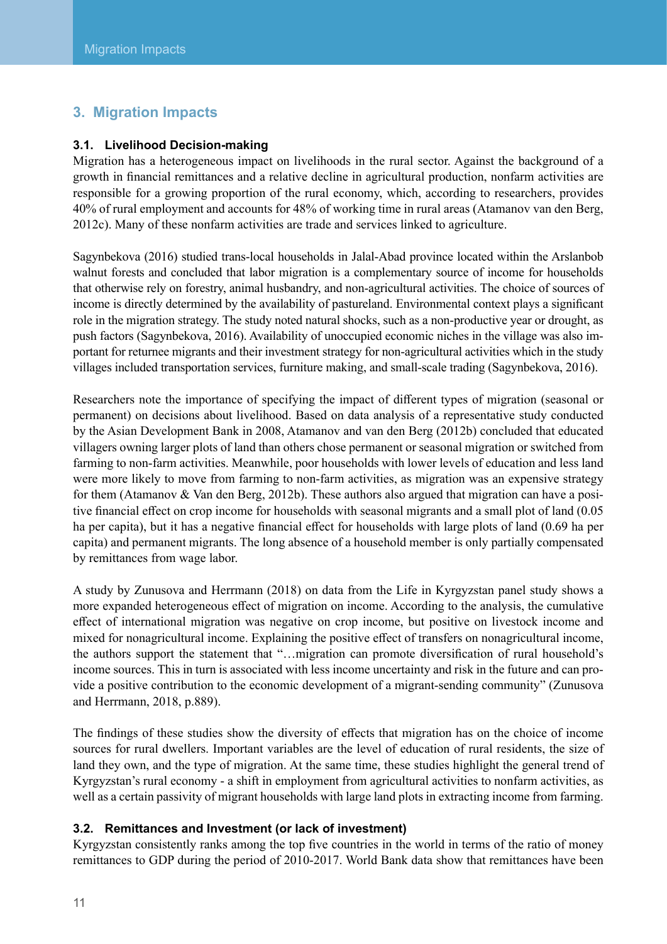## <span id="page-11-0"></span>**3. Migration Impacts**

#### **3.1. Livelihood Decision-making**

Migration has a heterogeneous impact on livelihoods in the rural sector. Against the background of a growth in financial remittances and a relative decline in agricultural production, nonfarm activities are responsible for a growing proportion of the rural economy, which, according to researchers, provides 40% of rural employment and accounts for 48% of working time in rural areas (Atamanov van den Berg, 2012c). Many of these nonfarm activities are trade and services linked to agriculture.

Sagynbekova (2016) studied trans-local households in Jalal-Abad province located within the Arslanbob walnut forests and concluded that labor migration is a complementary source of income for households that otherwise rely on forestry, animal husbandry, and non-agricultural activities. The choice of sources of income is directly determined by the availability of pastureland. Environmental context plays a significant role in the migration strategy. The study noted natural shocks, such as a non-productive year or drought, as push factors (Sagynbekova, 2016). Availability of unoccupied economic niches in the village was also important for returnee migrants and their investment strategy for non-agricultural activities which in the study villages included transportation services, furniture making, and small-scale trading (Sagynbekova, 2016).

Researchers note the importance of specifying the impact of different types of migration (seasonal or permanent) on decisions about livelihood. Based on data analysis of a representative study conducted by the Asian Development Bank in 2008, Atamanov and van den Berg (2012b) concluded that educated villagers owning larger plots of land than others chose permanent or seasonal migration or switched from farming to non-farm activities. Meanwhile, poor households with lower levels of education and less land were more likely to move from farming to non-farm activities, as migration was an expensive strategy for them (Atamanov & Van den Berg, 2012b). These authors also argued that migration can have a positive financial effect on crop income for households with seasonal migrants and a small plot of land (0.05 ha per capita), but it has a negative financial effect for households with large plots of land (0.69 ha per capita) and permanent migrants. The long absence of a household member is only partially compensated by remittances from wage labor.

A study by Zunusova and Herrmann (2018) on data from the Life in Kyrgyzstan panel study shows a more expanded heterogeneous effect of migration on income. According to the analysis, the cumulative effect of international migration was negative on crop income, but positive on livestock income and mixed for nonagricultural income. Explaining the positive effect of transfers on nonagricultural income, the authors support the statement that "…migration can promote diversification of rural household's income sources. This in turn is associated with less income uncertainty and risk in the future and can provide a positive contribution to the economic development of a migrant-sending community" (Zunusova and Herrmann, 2018, p.889).

The findings of these studies show the diversity of effects that migration has on the choice of income sources for rural dwellers. Important variables are the level of education of rural residents, the size of land they own, and the type of migration. At the same time, these studies highlight the general trend of Kyrgyzstan's rural economy - a shift in employment from agricultural activities to nonfarm activities, as well as a certain passivity of migrant households with large land plots in extracting income from farming.

#### **3.2. Remittances and Investment (or lack of investment)**

Kyrgyzstan consistently ranks among the top five countries in the world in terms of the ratio of money remittances to GDP during the period of 2010-2017. World Bank data show that remittances have been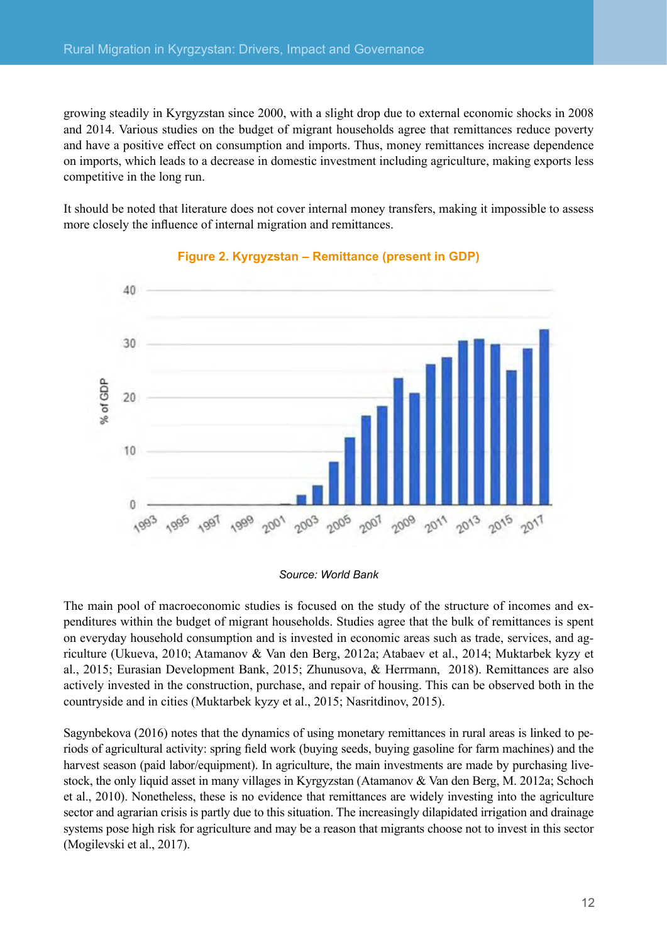<span id="page-12-0"></span>growing steadily in Kyrgyzstan since 2000, with a slight drop due to external economic shocks in 2008 and 2014. Various studies on the budget of migrant households agree that remittances reduce poverty and have a positive effect on consumption and imports. Thus, money remittances increase dependence on imports, which leads to a decrease in domestic investment including agriculture, making exports less competitive in the long run.

It should be noted that literature does not cover internal money transfers, making it impossible to assess more closely the influence of internal migration and remittances.



#### **Figure 2. Kyrgyzstan – Remittance (present in GDP)**

*Source: World Bank*

The main pool of macroeconomic studies is focused on the study of the structure of incomes and expenditures within the budget of migrant households. Studies agree that the bulk of remittances is spent on everyday household consumption and is invested in economic areas such as trade, services, and agriculture (Ukueva, 2010; Atamanov & Van den Berg, 2012a; Atabaev et al., 2014; Muktarbek kyzy et al., 2015; Eurasian Development Bank, 2015; Zhunusova, & Herrmann, 2018). Remittances are also actively invested in the construction, purchase, and repair of housing. This can be observed both in the countryside and in cities (Muktarbek kyzy et al., 2015; Nasritdinov, 2015).

Sagynbekova (2016) notes that the dynamics of using monetary remittances in rural areas is linked to periods of agricultural activity: spring field work (buying seeds, buying gasoline for farm machines) and the harvest season (paid labor/equipment). In agriculture, the main investments are made by purchasing livestock, the only liquid asset in many villages in Kyrgyzstan (Atamanov & Van den Berg, M. 2012a; Schoch et al., 2010). Nonetheless, these is no evidence that remittances are widely investing into the agriculture sector and agrarian crisis is partly due to this situation. The increasingly dilapidated irrigation and drainage systems pose high risk for agriculture and may be a reason that migrants choose not to invest in this sector (Mogilevski et al., 2017).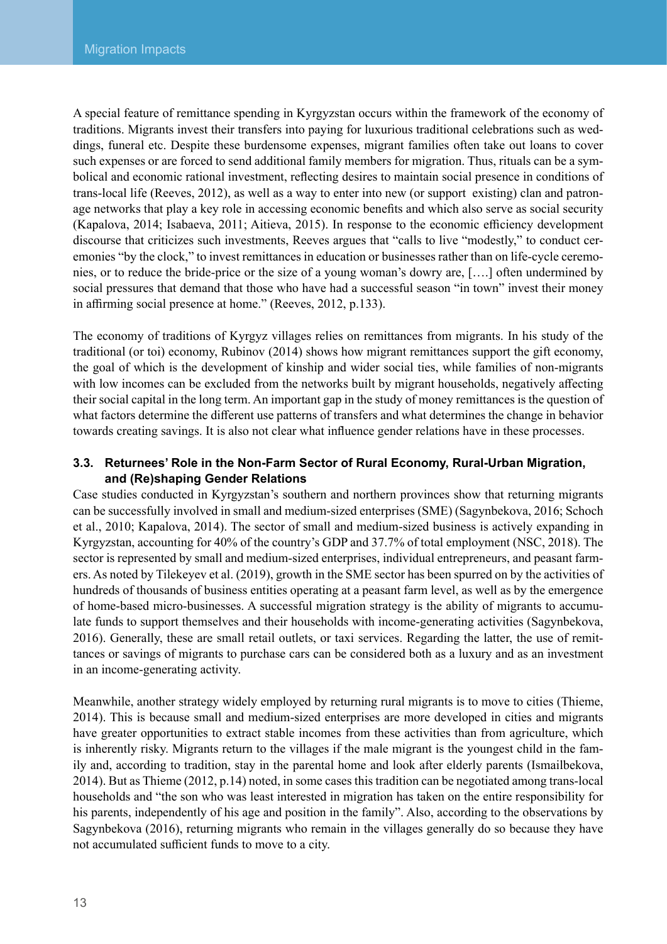<span id="page-13-0"></span>A special feature of remittance spending in Kyrgyzstan occurs within the framework of the economy of traditions. Migrants invest their transfers into paying for luxurious traditional celebrations such as weddings, funeral etc. Despite these burdensome expenses, migrant families often take out loans to cover such expenses or are forced to send additional family members for migration. Thus, rituals can be a symbolical and economic rational investment, reflecting desires to maintain social presence in conditions of trans-local life (Reeves, 2012), as well as a way to enter into new (or support existing) clan and patronage networks that play a key role in accessing economic benefits and which also serve as social security (Kapalova, 2014; Isabaeva, 2011; Aitieva, 2015). In response to the economic efficiency development discourse that criticizes such investments, Reeves argues that "calls to live "modestly," to conduct ceremonies "by the clock," to invest remittances in education or businesses rather than on life-cycle ceremonies, or to reduce the bride-price or the size of a young woman's dowry are, [….] often undermined by social pressures that demand that those who have had a successful season "in town" invest their money in affirming social presence at home." (Reeves, 2012, p.133).

The economy of traditions of Kyrgyz villages relies on remittances from migrants. In his study of the traditional (or toi) economy, Rubinov (2014) shows how migrant remittances support the gift economy, the goal of which is the development of kinship and wider social ties, while families of non-migrants with low incomes can be excluded from the networks built by migrant households, negatively affecting their social capital in the long term. An important gap in the study of money remittances is the question of what factors determine the different use patterns of transfers and what determines the change in behavior towards creating savings. It is also not clear what influence gender relations have in these processes.

#### **3.3. Returnees' Role in the Non-Farm Sector of Rural Economy, Rural-Urban Migration, and (Re)shaping Gender Relations**

Case studies conducted in Kyrgyzstan's southern and northern provinces show that returning migrants can be successfully involved in small and medium-sized enterprises (SME) (Sagynbekova, 2016; Schoch et al., 2010; Kapalova, 2014). The sector of small and medium-sized business is actively expanding in Kyrgyzstan, accounting for 40% of the country's GDP and 37.7% of total employment (NSC, 2018). The sector is represented by small and medium-sized enterprises, individual entrepreneurs, and peasant farmers. As noted by Tilekeyev et al. (2019), growth in the SME sector has been spurred on by the activities of hundreds of thousands of business entities operating at a peasant farm level, as well as by the emergence of home-based micro-businesses. A successful migration strategy is the ability of migrants to accumulate funds to support themselves and their households with income-generating activities (Sagynbekova, 2016). Generally, these are small retail outlets, or taxi services. Regarding the latter, the use of remittances or savings of migrants to purchase cars can be considered both as a luxury and as an investment in an income-generating activity.

Meanwhile, another strategy widely employed by returning rural migrants is to move to cities (Thieme, 2014). This is because small and medium-sized enterprises are more developed in cities and migrants have greater opportunities to extract stable incomes from these activities than from agriculture, which is inherently risky. Migrants return to the villages if the male migrant is the youngest child in the family and, according to tradition, stay in the parental home and look after elderly parents (Ismailbekova, 2014). But as Thieme (2012, p.14) noted, in some cases this tradition can be negotiated among trans-local households and "the son who was least interested in migration has taken on the entire responsibility for his parents, independently of his age and position in the family". Also, according to the observations by Sagynbekova (2016), returning migrants who remain in the villages generally do so because they have not accumulated sufficient funds to move to a city.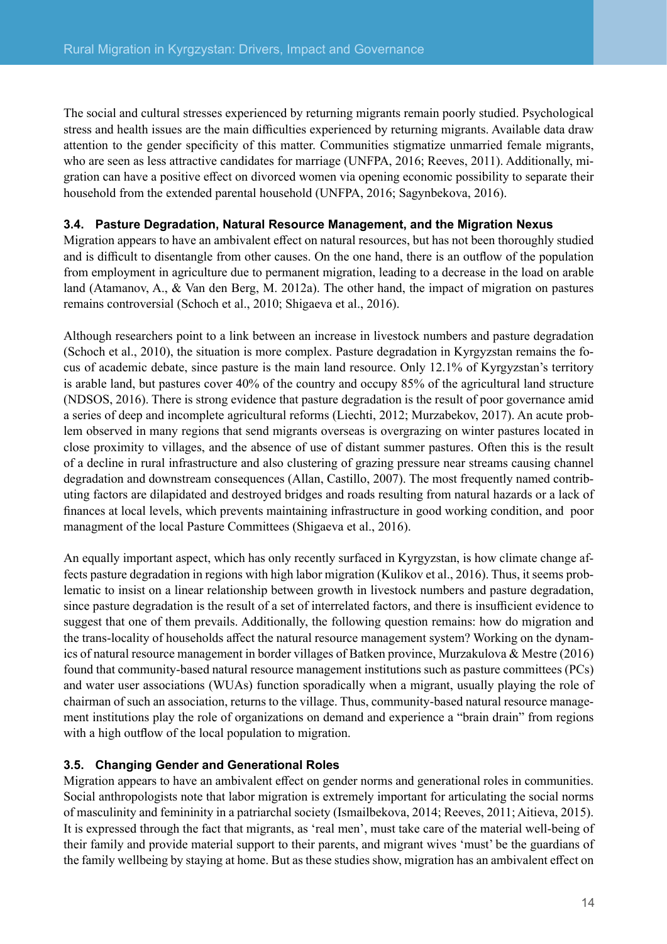<span id="page-14-0"></span>The social and cultural stresses experienced by returning migrants remain poorly studied. Psychological stress and health issues are the main difficulties experienced by returning migrants. Available data draw attention to the gender specificity of this matter. Communities stigmatize unmarried female migrants, who are seen as less attractive candidates for marriage (UNFPA, 2016; Reeves, 2011). Additionally, migration can have a positive effect on divorced women via opening economic possibility to separate their household from the extended parental household (UNFPA, 2016; Sagynbekova, 2016).

#### **3.4. Pasture Degradation, Natural Resource Management, and the Migration Nexus**

Migration appears to have an ambivalent effect on natural resources, but has not been thoroughly studied and is difficult to disentangle from other causes. On the one hand, there is an outflow of the population from employment in agriculture due to permanent migration, leading to a decrease in the load on arable land (Atamanov, A., & Van den Berg, M. 2012a). The other hand, the impact of migration on pastures remains controversial (Schoch et al., 2010; Shigaeva et al., 2016).

Although researchers point to a link between an increase in livestock numbers and pasture degradation (Schoch et al., 2010), the situation is more complex. Pasture degradation in Kyrgyzstan remains the focus of academic debate, since pasture is the main land resource. Only 12.1% of Kyrgyzstan's territory is arable land, but pastures cover 40% of the country and occupy 85% of the agricultural land structure (NDSOS, 2016). There is strong evidence that pasture degradation is the result of poor governance amid a series of deep and incomplete agricultural reforms (Liechti, 2012; Murzabekov, 2017). An acute problem observed in many regions that send migrants overseas is overgrazing on winter pastures located in close proximity to villages, and the absence of use of distant summer pastures. Often this is the result of a decline in rural infrastructure and also clustering of grazing pressure near streams causing channel degradation and downstream consequences (Allan, Castillo, 2007). The most frequently named contributing factors are dilapidated and destroyed bridges and roads resulting from natural hazards or a lack of finances at local levels, which prevents maintaining infrastructure in good working condition, and poor managment of the local Pasture Committees (Shigaeva et al., 2016).

An equally important aspect, which has only recently surfaced in Kyrgyzstan, is how climate change affects pasture degradation in regions with high labor migration (Kulikov et al., 2016). Thus, it seems problematic to insist on a linear relationship between growth in livestock numbers and pasture degradation, since pasture degradation is the result of a set of interrelated factors, and there is insufficient evidence to suggest that one of them prevails. Additionally, the following question remains: how do migration and the trans-locality of households affect the natural resource management system? Working on the dynamics of natural resource management in border villages of Batken province, Murzakulova & Mestre (2016) found that community-based natural resource management institutions such as pasture committees (PCs) and water user associations (WUAs) function sporadically when a migrant, usually playing the role of chairman of such an association, returns to the village. Thus, community-based natural resource management institutions play the role of organizations on demand and experience a "brain drain" from regions with a high outflow of the local population to migration.

#### **3.5. Changing Gender and Generational Roles**

Migration appears to have an ambivalent effect on gender norms and generational roles in communities. Social anthropologists note that labor migration is extremely important for articulating the social norms of masculinity and femininity in a patriarchal society (Ismailbekova, 2014; Reeves, 2011; Aitieva, 2015). It is expressed through the fact that migrants, as 'real men', must take care of the material well-being of their family and provide material support to their parents, and migrant wives 'must' be the guardians of the family wellbeing by staying at home. But as these studies show, migration has an ambivalent effect on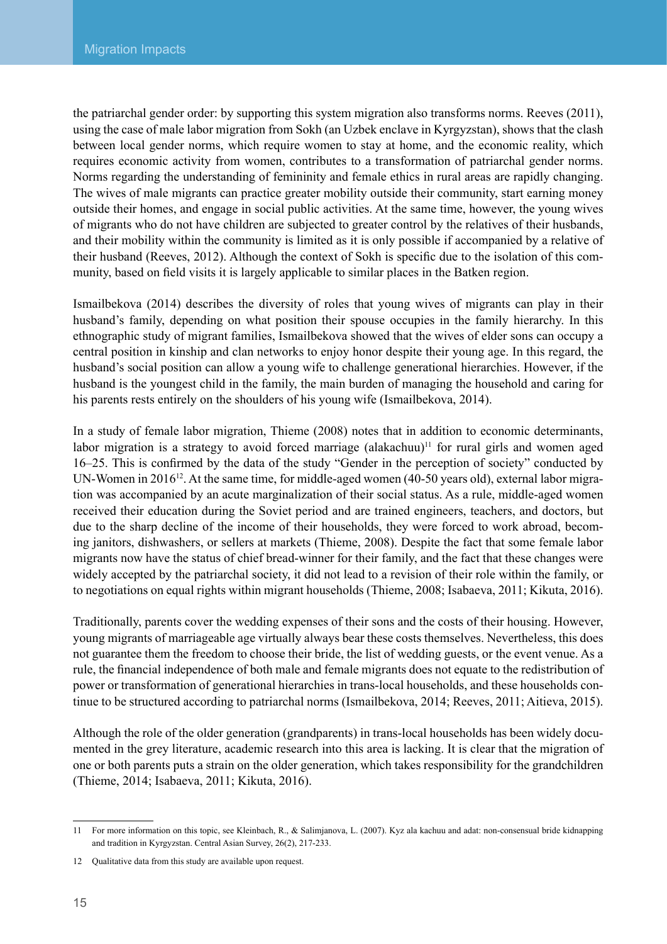the patriarchal gender order: by supporting this system migration also transforms norms. Reeves (2011), using the case of male labor migration from Sokh (an Uzbek enclave in Kyrgyzstan), shows that the clash between local gender norms, which require women to stay at home, and the economic reality, which requires economic activity from women, contributes to a transformation of patriarchal gender norms. Norms regarding the understanding of femininity and female ethics in rural areas are rapidly changing. The wives of male migrants can practice greater mobility outside their community, start earning money outside their homes, and engage in social public activities. At the same time, however, the young wives of migrants who do not have children are subjected to greater control by the relatives of their husbands, and their mobility within the community is limited as it is only possible if accompanied by a relative of their husband (Reeves, 2012). Although the context of Sokh is specific due to the isolation of this community, based on field visits it is largely applicable to similar places in the Batken region.

Ismailbekova (2014) describes the diversity of roles that young wives of migrants can play in their husband's family, depending on what position their spouse occupies in the family hierarchy. In this ethnographic study of migrant families, Ismailbekova showed that the wives of elder sons can occupy a central position in kinship and clan networks to enjoy honor despite their young age. In this regard, the husband's social position can allow a young wife to challenge generational hierarchies. However, if the husband is the youngest child in the family, the main burden of managing the household and caring for his parents rests entirely on the shoulders of his young wife (Ismailbekova, 2014).

In a study of female labor migration, Thieme (2008) notes that in addition to economic determinants, labor migration is a strategy to avoid forced marriage (alakachuu)<sup> $11$ </sup> for rural girls and women aged 16–25. This is confirmed by the data of the study "Gender in the perception of society" conducted by UN-Women in 2016<sup>12</sup>. At the same time, for middle-aged women (40-50 years old), external labor migration was accompanied by an acute marginalization of their social status. As a rule, middle-aged women received their education during the Soviet period and are trained engineers, teachers, and doctors, but due to the sharp decline of the income of their households, they were forced to work abroad, becoming janitors, dishwashers, or sellers at markets (Thieme, 2008). Despite the fact that some female labor migrants now have the status of chief bread-winner for their family, and the fact that these changes were widely accepted by the patriarchal society, it did not lead to a revision of their role within the family, or to negotiations on equal rights within migrant households (Thieme, 2008; Isabaeva, 2011; Kikuta, 2016).

Traditionally, parents cover the wedding expenses of their sons and the costs of their housing. However, young migrants of marriageable age virtually always bear these costs themselves. Nevertheless, this does not guarantee them the freedom to choose their bride, the list of wedding guests, or the event venue. As a rule, the financial independence of both male and female migrants does not equate to the redistribution of power or transformation of generational hierarchies in trans-local households, and these households continue to be structured according to patriarchal norms (Ismailbekova, 2014; Reeves, 2011; Aitieva, 2015).

Although the role of the older generation (grandparents) in trans-local households has been widely documented in the grey literature, academic research into this area is lacking. It is clear that the migration of one or both parents puts a strain on the older generation, which takes responsibility for the grandchildren (Thieme, 2014; Isabaeva, 2011; Kikuta, 2016).

<sup>11</sup> For more information on this topic, see Kleinbach, R., & Salimjanova, L. (2007). Kyz ala kachuu and adat: non-consensual bride kidnapping and tradition in Kyrgyzstan. Central Asian Survey, 26(2), 217-233.

<sup>12</sup> Qualitative data from this study are available upon request.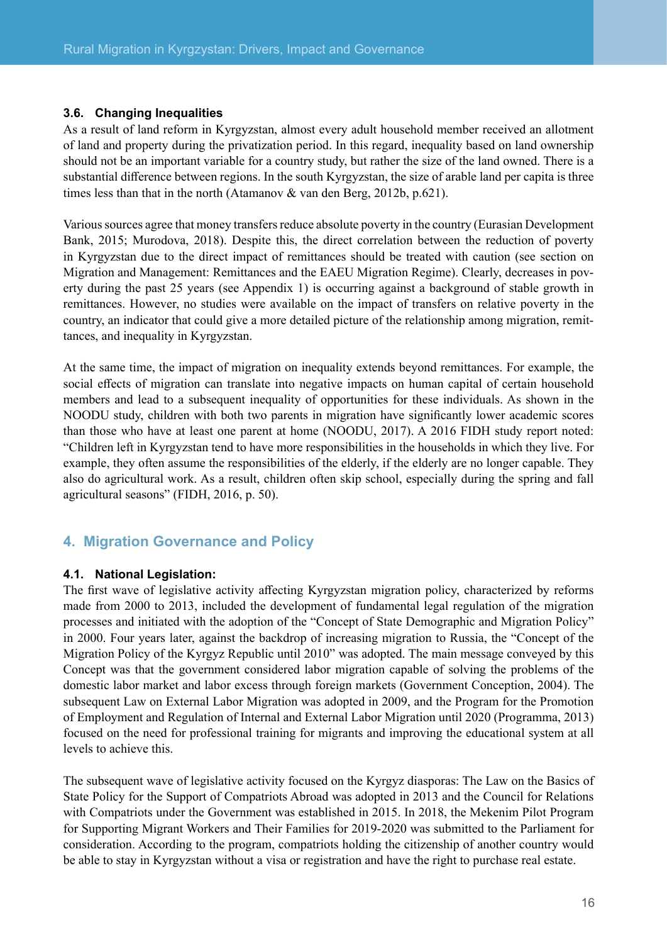#### <span id="page-16-0"></span>**3.6. Changing Inequalities**

As a result of land reform in Kyrgyzstan, almost every adult household member received an allotment of land and property during the privatization period. In this regard, inequality based on land ownership should not be an important variable for a country study, but rather the size of the land owned. There is a substantial difference between regions. In the south Kyrgyzstan, the size of arable land per capita is three times less than that in the north (Atamanov & van den Berg, 2012b, p.621).

Various sources agree that money transfers reduce absolute poverty in the country (Eurasian Development Bank, 2015; Murodova, 2018). Despite this, the direct correlation between the reduction of poverty in Kyrgyzstan due to the direct impact of remittances should be treated with caution (see section on Migration and Management: Remittances and the EAEU Migration Regime). Clearly, decreases in poverty during the past 25 years (see Appendix 1) is occurring against a background of stable growth in remittances. However, no studies were available on the impact of transfers on relative poverty in the country, an indicator that could give a more detailed picture of the relationship among migration, remittances, and inequality in Kyrgyzstan.

At the same time, the impact of migration on inequality extends beyond remittances. For example, the social effects of migration can translate into negative impacts on human capital of certain household members and lead to a subsequent inequality of opportunities for these individuals. As shown in the NOODU study, children with both two parents in migration have significantly lower academic scores than those who have at least one parent at home (NOODU, 2017). A 2016 FIDH study report noted: "Children left in Kyrgyzstan tend to have more responsibilities in the households in which they live. For example, they often assume the responsibilities of the elderly, if the elderly are no longer capable. They also do agricultural work. As a result, children often skip school, especially during the spring and fall agricultural seasons" (FIDH, 2016, p. 50).

## **4. Migration Governance and Policy**

#### **4.1. National Legislation:**

The first wave of legislative activity affecting Kyrgyzstan migration policy, characterized by reforms made from 2000 to 2013, included the development of fundamental legal regulation of the migration processes and initiated with the adoption of the "Concept of State Demographic and Migration Policy" in 2000. Four years later, against the backdrop of increasing migration to Russia, the "Concept of the Migration Policy of the Kyrgyz Republic until 2010" was adopted. The main message conveyed by this Concept was that the government considered labor migration capable of solving the problems of the domestic labor market and labor excess through foreign markets (Government Conception, 2004). The subsequent Law on External Labor Migration was adopted in 2009, and the Program for the Promotion of Employment and Regulation of Internal and External Labor Migration until 2020 (Programma, 2013) focused on the need for professional training for migrants and improving the educational system at all levels to achieve this.

The subsequent wave of legislative activity focused on the Kyrgyz diasporas: The Law on the Basics of State Policy for the Support of Compatriots Abroad was adopted in 2013 and the Council for Relations with Compatriots under the Government was established in 2015. In 2018, the Mekenim Pilot Program for Supporting Migrant Workers and Their Families for 2019-2020 was submitted to the Parliament for consideration. According to the program, compatriots holding the citizenship of another country would be able to stay in Kyrgyzstan without a visa or registration and have the right to purchase real estate.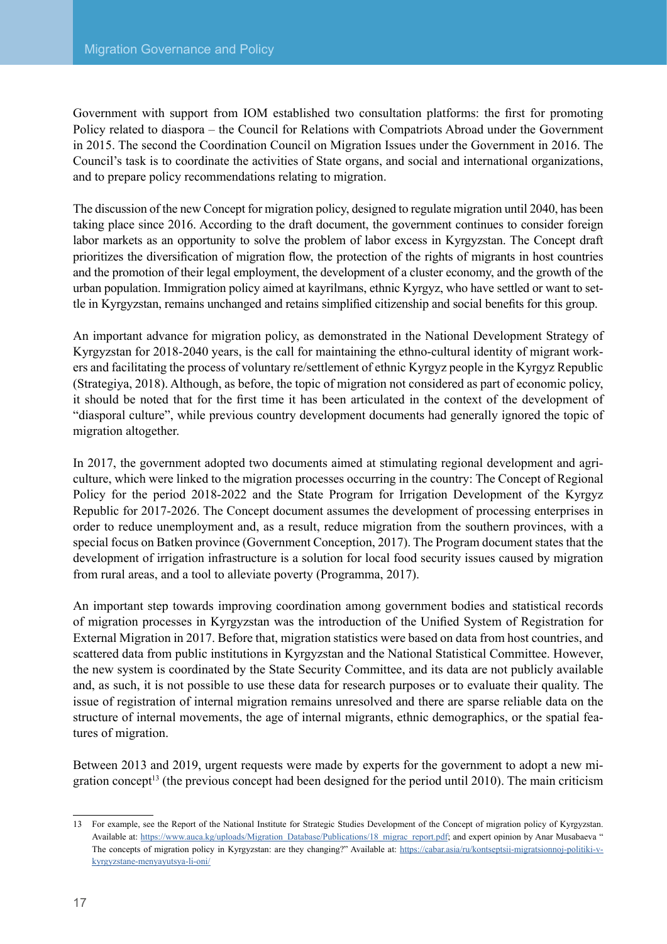Government with support from IOM established two consultation platforms: the first for promoting Policy related to diaspora – the Council for Relations with Compatriots Abroad under the Government in 2015. The second the Coordination Council on Migration Issues under the Government in 2016. The Council's task is to coordinate the activities of State organs, and social and international organizations, and to prepare policy recommendations relating to migration.

The discussion of the new Concept for migration policy, designed to regulate migration until 2040, has been taking place since 2016. According to the draft document, the government continues to consider foreign labor markets as an opportunity to solve the problem of labor excess in Kyrgyzstan. The Concept draft prioritizes the diversification of migration flow, the protection of the rights of migrants in host countries and the promotion of their legal employment, the development of a cluster economy, and the growth of the urban population. Immigration policy aimed at kayrilmans, ethnic Kyrgyz, who have settled or want to settle in Kyrgyzstan, remains unchanged and retains simplified citizenship and social benefits for this group.

An important advance for migration policy, as demonstrated in the National Development Strategy of Kyrgyzstan for 2018-2040 years, is the call for maintaining the ethno-cultural identity of migrant workers and facilitating the process of voluntary re/settlement of ethnic Kyrgyz people in the Kyrgyz Republic (Strategiya, 2018). Although, as before, the topic of migration not considered as part of economic policy, it should be noted that for the first time it has been articulated in the context of the development of "diasporal culture", while previous country development documents had generally ignored the topic of migration altogether.

In 2017, the government adopted two documents aimed at stimulating regional development and agriculture, which were linked to the migration processes occurring in the country: The Concept of Regional Policy for the period 2018-2022 and the State Program for Irrigation Development of the Kyrgyz Republic for 2017-2026. The Concept document assumes the development of processing enterprises in order to reduce unemployment and, as a result, reduce migration from the southern provinces, with a special focus on Batken province (Government Conception, 2017). The Program document states that the development of irrigation infrastructure is a solution for local food security issues caused by migration from rural areas, and a tool to alleviate poverty (Programma, 2017).

An important step towards improving coordination among government bodies and statistical records of migration processes in Kyrgyzstan was the introduction of the Unified System of Registration for External Migration in 2017. Before that, migration statistics were based on data from host countries, and scattered data from public institutions in Kyrgyzstan and the National Statistical Committee. However, the new system is coordinated by the State Security Committee, and its data are not publicly available and, as such, it is not possible to use these data for research purposes or to evaluate their quality. The issue of registration of internal migration remains unresolved and there are sparse reliable data on the structure of internal movements, the age of internal migrants, ethnic demographics, or the spatial features of migration.

Between 2013 and 2019, urgent requests were made by experts for the government to adopt a new migration concept<sup>13</sup> (the previous concept had been designed for the period until 2010). The main criticism

<sup>13</sup> For example, see the Report of the National Institute for Strategic Studies Development of the Concept of migration policy of Kyrgyzstan. Available at: [https://www.auca.kg/uploads/Migration\\_Database/Publications/18\\_migrac\\_report.pdf;](https://www.auca.kg/uploads/Migration_Database/Publications/18_migrac_report.pdf) and expert opinion by Anar Musabaeva " The concepts of migration policy in Kyrgyzstan: are they changing?" Available at: [https://cabar.asia/ru/kontseptsii-migratsionnoj-politiki-v](https://cabar.asia/ru/kontseptsii-migratsionnoj-politiki-v-kyrgyzstane-menyayutsya-li-oni/)[kyrgyzstane-menyayutsya-li-oni/](https://cabar.asia/ru/kontseptsii-migratsionnoj-politiki-v-kyrgyzstane-menyayutsya-li-oni/)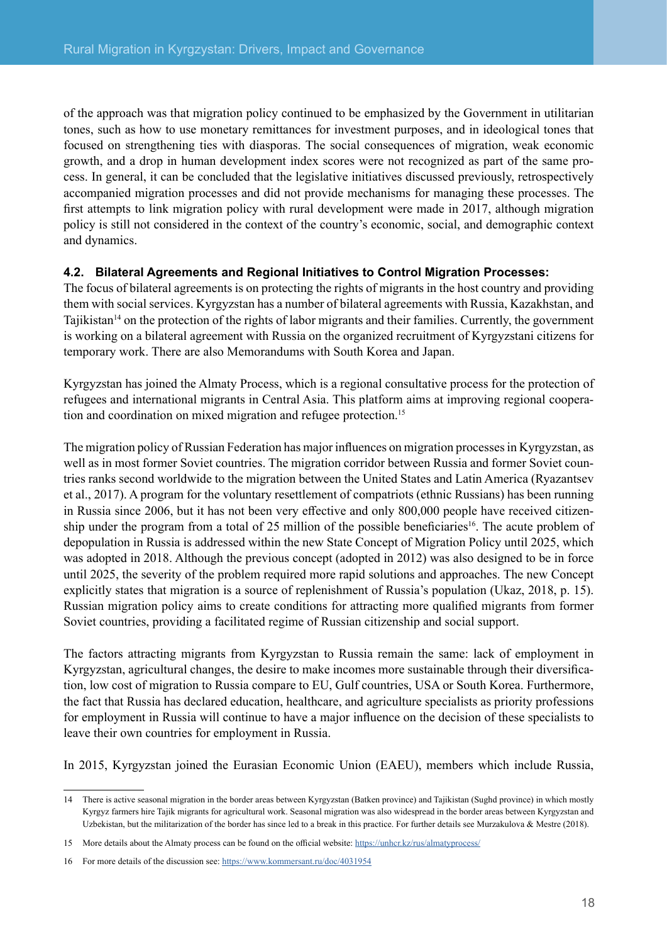<span id="page-18-0"></span>of the approach was that migration policy continued to be emphasized by the Government in utilitarian tones, such as how to use monetary remittances for investment purposes, and in ideological tones that focused on strengthening ties with diasporas. The social consequences of migration, weak economic growth, and a drop in human development index scores were not recognized as part of the same process. In general, it can be concluded that the legislative initiatives discussed previously, retrospectively accompanied migration processes and did not provide mechanisms for managing these processes. The first attempts to link migration policy with rural development were made in 2017, although migration policy is still not considered in the context of the country's economic, social, and demographic context and dynamics.

#### **4.2. Bilateral Agreements and Regional Initiatives to Control Migration Processes:**

The focus of bilateral agreements is on protecting the rights of migrants in the host country and providing them with social services. Kyrgyzstan has a number of bilateral agreements with Russia, Kazakhstan, and Tajikistan14 on the protection of the rights of labor migrants and their families. Currently, the government is working on a bilateral agreement with Russia on the organized recruitment of Kyrgyzstani citizens for temporary work. There are also Memorandums with South Korea and Japan.

Kyrgyzstan has joined the Almaty Process, which is a regional consultative process for the protection of refugees and international migrants in Central Asia. This platform aims at improving regional cooperation and coordination on mixed migration and refugee protection. 15

The migration policy of Russian Federation has major influences on migration processes in Kyrgyzstan, as well as in most former Soviet countries. The migration corridor between Russia and former Soviet countries ranks second worldwide to the migration between the United States and Latin America (Ryazantsev et al., 2017). A program for the voluntary resettlement of compatriots (ethnic Russians) has been running in Russia since 2006, but it has not been very effective and only 800,000 people have received citizenship under the program from a total of 25 million of the possible beneficiaries<sup>16</sup>. The acute problem of depopulation in Russia is addressed within the new State Concept of Migration Policy until 2025, which was adopted in 2018. Although the previous concept (adopted in 2012) was also designed to be in force until 2025, the severity of the problem required more rapid solutions and approaches. The new Concept explicitly states that migration is a source of replenishment of Russia's population (Ukaz, 2018, p. 15). Russian migration policy aims to create conditions for attracting more qualified migrants from former Soviet countries, providing a facilitated regime of Russian citizenship and social support.

The factors attracting migrants from Kyrgyzstan to Russia remain the same: lack of employment in Kyrgyzstan, agricultural changes, the desire to make incomes more sustainable through their diversification, low cost of migration to Russia compare to EU, Gulf countries, USA or South Korea. Furthermore, the fact that Russia has declared education, healthcare, and agriculture specialists as priority professions for employment in Russia will continue to have a major influence on the decision of these specialists to leave their own countries for employment in Russia.

In 2015, Kyrgyzstan joined the Eurasian Economic Union (EAEU), members which include Russia,

<sup>14</sup> There is active seasonal migration in the border areas between Kyrgyzstan (Batken province) and Tajikistan (Sughd province) in which mostly Kyrgyz farmers hire Tajik migrants for agricultural work. Seasonal migration was also widespread in the border areas between Kyrgyzstan and Uzbekistan, but the militarization of the border has since led to a break in this practice. For further details see Murzakulova & Mestre (2018).

<sup>15</sup> More details about the Almaty process can be found on the official website: <https://unhcr.kz/rus/almatyprocess/>

<sup>16</sup> For more details of the discussion see: <https://www.kommersant.ru/doc/4031954>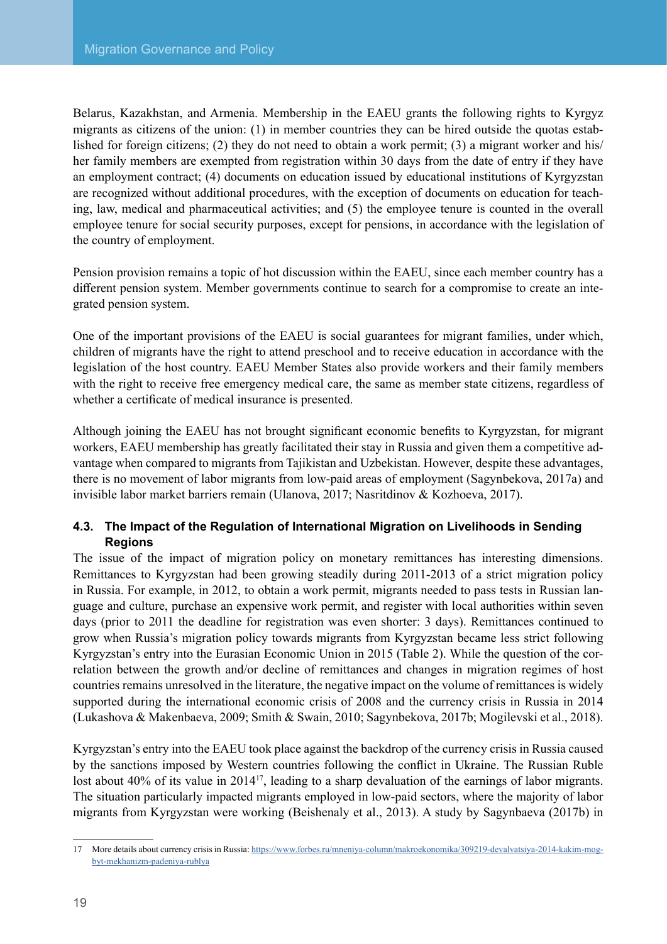<span id="page-19-0"></span>Belarus, Kazakhstan, and Armenia. Membership in the EAEU grants the following rights to Kyrgyz migrants as citizens of the union: (1) in member countries they can be hired outside the quotas established for foreign citizens; (2) they do not need to obtain a work permit; (3) a migrant worker and his/ her family members are exempted from registration within 30 days from the date of entry if they have an employment contract; (4) documents on education issued by educational institutions of Kyrgyzstan are recognized without additional procedures, with the exception of documents on education for teaching, law, medical and pharmaceutical activities; and (5) the employee tenure is counted in the overall employee tenure for social security purposes, except for pensions, in accordance with the legislation of the country of employment.

Pension provision remains a topic of hot discussion within the EAEU, since each member country has a different pension system. Member governments continue to search for a compromise to create an integrated pension system.

One of the important provisions of the EAEU is social guarantees for migrant families, under which, children of migrants have the right to attend preschool and to receive education in accordance with the legislation of the host country. EAEU Member States also provide workers and their family members with the right to receive free emergency medical care, the same as member state citizens, regardless of whether a certificate of medical insurance is presented.

Although joining the EAEU has not brought significant economic benefits to Kyrgyzstan, for migrant workers, EAEU membership has greatly facilitated their stay in Russia and given them a competitive advantage when compared to migrants from Tajikistan and Uzbekistan. However, despite these advantages, there is no movement of labor migrants from low-paid areas of employment (Sagynbekova, 2017a) and invisible labor market barriers remain (Ulanova, 2017; Nasritdinov & Kozhoeva, 2017).

#### **4.3. The Impact of the Regulation of International Migration on Livelihoods in Sending Regions**

The issue of the impact of migration policy on monetary remittances has interesting dimensions. Remittances to Kyrgyzstan had been growing steadily during 2011-2013 of a strict migration policy in Russia. For example, in 2012, to obtain a work permit, migrants needed to pass tests in Russian language and culture, purchase an expensive work permit, and register with local authorities within seven days (prior to 2011 the deadline for registration was even shorter: 3 days). Remittances continued to grow when Russia's migration policy towards migrants from Kyrgyzstan became less strict following Kyrgyzstan's entry into the Eurasian Economic Union in 2015 (Table 2). While the question of the correlation between the growth and/or decline of remittances and changes in migration regimes of host countries remains unresolved in the literature, the negative impact on the volume of remittances is widely supported during the international economic crisis of 2008 and the currency crisis in Russia in 2014 (Lukashova & Makenbaeva, 2009; Smith & Swain, 2010; Sagynbekova, 2017b; Mogilevski et al., 2018).

Kyrgyzstan's entry into the EAEU took place against the backdrop of the currency crisis in Russia caused by the sanctions imposed by Western countries following the conflict in Ukraine. The Russian Ruble lost about 40% of its value in 2014<sup>17</sup>, leading to a sharp devaluation of the earnings of labor migrants. The situation particularly impacted migrants employed in low-paid sectors, where the majority of labor migrants from Kyrgyzstan were working (Beishenaly et al., 2013). A study by Sagynbaeva (2017b) in

<sup>17</sup> More details about currency crisis in Russia: [https://www.forbes.ru/mneniya-column/makroekonomika/309219-devalvatsiya-2014-kakim-mog](https://www.forbes.ru/mneniya-column/makroekonomika/309219-devalvatsiya-2014-kakim-mog-byt-mekhanizm-padeniya-rublya)[byt-mekhanizm-padeniya-rublya](https://www.forbes.ru/mneniya-column/makroekonomika/309219-devalvatsiya-2014-kakim-mog-byt-mekhanizm-padeniya-rublya)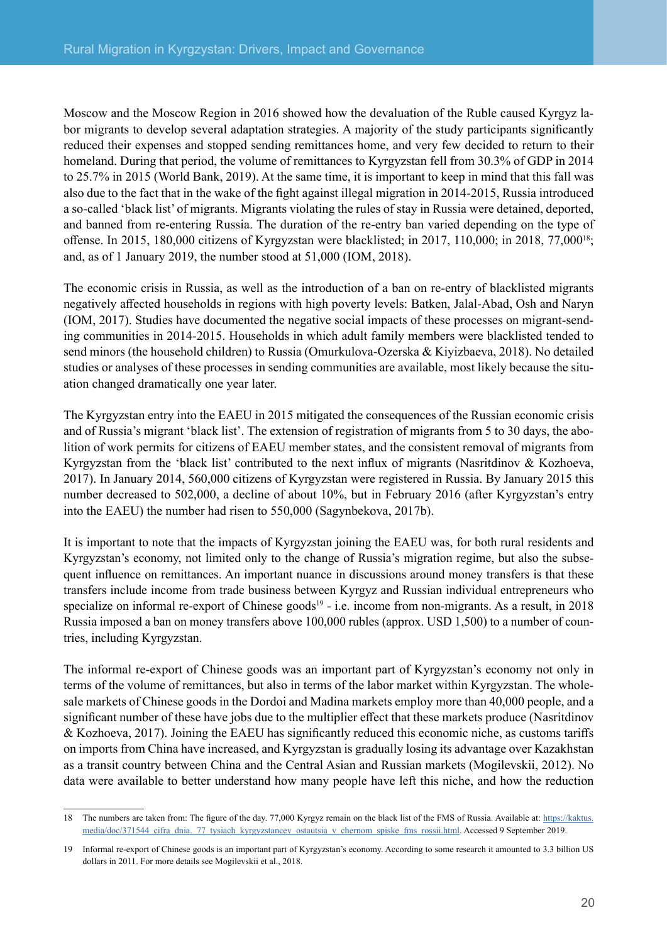Moscow and the Moscow Region in 2016 showed how the devaluation of the Ruble caused Kyrgyz labor migrants to develop several adaptation strategies. A majority of the study participants significantly reduced their expenses and stopped sending remittances home, and very few decided to return to their homeland. During that period, the volume of remittances to Kyrgyzstan fell from 30.3% of GDP in 2014 to 25.7% in 2015 (World Bank, 2019). At the same time, it is important to keep in mind that this fall was also due to the fact that in the wake of the fight against illegal migration in 2014-2015, Russia introduced a so-called 'black list' of migrants. Migrants violating the rules of stay in Russia were detained, deported, and banned from re-entering Russia. The duration of the re-entry ban varied depending on the type of offense. In 2015, 180,000 citizens of Kyrgyzstan were blacklisted; in 2017, 110,000; in 2018, 77,00018; and, as of 1 January 2019, the number stood at 51,000 (IOM, 2018).

The economic crisis in Russia, as well as the introduction of a ban on re-entry of blacklisted migrants negatively affected households in regions with high poverty levels: Batken, Jalal-Abad, Osh and Naryn (IOM, 2017). Studies have documented the negative social impacts of these processes on migrant-sending communities in 2014-2015. Households in which adult family members were blacklisted tended to send minors (the household children) to Russia (Omurkulova-Ozerska & Kiyizbaeva, 2018). No detailed studies or analyses of these processes in sending communities are available, most likely because the situation changed dramatically one year later.

The Kyrgyzstan entry into the EAEU in 2015 mitigated the consequences of the Russian economic crisis and of Russia's migrant 'black list'. The extension of registration of migrants from 5 to 30 days, the abolition of work permits for citizens of EAEU member states, and the consistent removal of migrants from Kyrgyzstan from the 'black list' contributed to the next influx of migrants (Nasritdinov & Kozhoeva, 2017). In January 2014, 560,000 citizens of Kyrgyzstan were registered in Russia. By January 2015 this number decreased to 502,000, a decline of about 10%, but in February 2016 (after Kyrgyzstan's entry into the EAEU) the number had risen to 550,000 (Sagynbekova, 2017b).

It is important to note that the impacts of Kyrgyzstan joining the EAEU was, for both rural residents and Kyrgyzstan's economy, not limited only to the change of Russia's migration regime, but also the subsequent influence on remittances. An important nuance in discussions around money transfers is that these transfers include income from trade business between Kyrgyz and Russian individual entrepreneurs who specialize on informal re-export of Chinese goods<sup>19</sup> - i.e. income from non-migrants. As a result, in 2018 Russia imposed a ban on money transfers above 100,000 rubles (approx. USD 1,500) to a number of countries, including Kyrgyzstan.

The informal re-export of Chinese goods was an important part of Kyrgyzstan's economy not only in terms of the volume of remittances, but also in terms of the labor market within Kyrgyzstan. The wholesale markets of Chinese goods in the Dordoi and Madina markets employ more than 40,000 people, and a significant number of these have jobs due to the multiplier effect that these markets produce (Nasritdinov & Kozhoeva, 2017). Joining the EAEU has significantly reduced this economic niche, as customs tariffs on imports from China have increased, and Kyrgyzstan is gradually losing its advantage over Kazakhstan as a transit country between China and the Central Asian and Russian markets (Mogilevskii, 2012). No data were available to better understand how many people have left this niche, and how the reduction

<sup>18</sup> The numbers are taken from: The figure of the day. 77,000 Kyrgyz remain on the black list of the FMS of Russia. Available at: [https://kaktus.](https://kaktus.media/doc/371544_cifra_dnia._77_tysiach_kyrgyzstancev_ostautsia_v_chernom_spiske_fms_rossii.html) [media/doc/371544\\_cifra\\_dnia.\\_77\\_tysiach\\_kyrgyzstancev\\_ostautsia\\_v\\_chernom\\_spiske\\_fms\\_rossii.html](https://kaktus.media/doc/371544_cifra_dnia._77_tysiach_kyrgyzstancev_ostautsia_v_chernom_spiske_fms_rossii.html). Accessed 9 September 2019.

<sup>19</sup> Informal re-export of Chinese goods is an important part of Kyrgyzstan's economy. According to some research it amounted to 3.3 billion US dollars in 2011. For more details see Mogilevskii et al., 2018.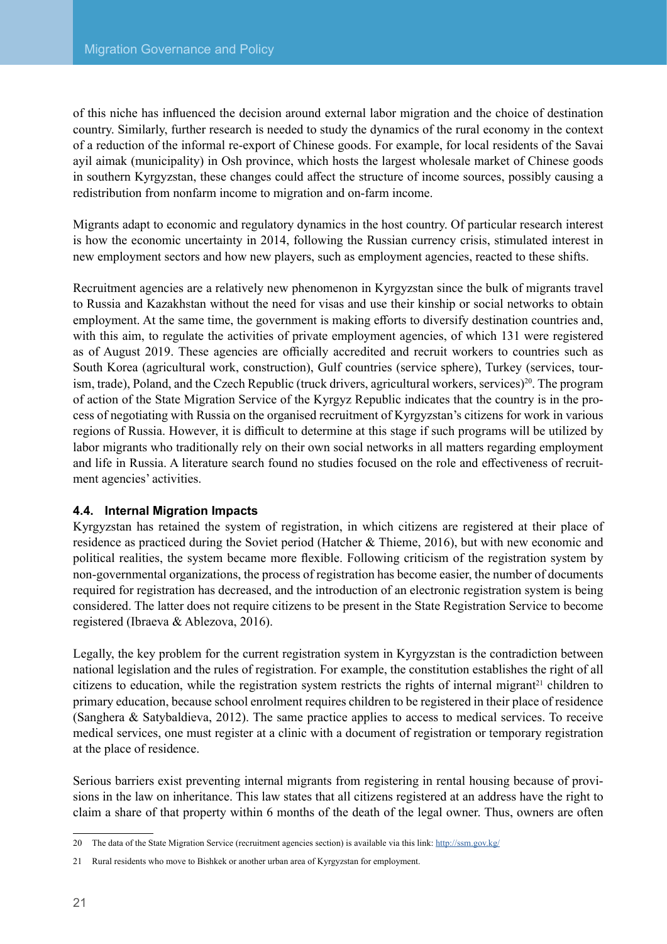<span id="page-21-0"></span>of this niche has influenced the decision around external labor migration and the choice of destination country. Similarly, further research is needed to study the dynamics of the rural economy in the context of a reduction of the informal re-export of Chinese goods. For example, for local residents of the Savai ayil aimak (municipality) in Osh province, which hosts the largest wholesale market of Chinese goods in southern Kyrgyzstan, these changes could affect the structure of income sources, possibly causing a redistribution from nonfarm income to migration and on-farm income.

Migrants adapt to economic and regulatory dynamics in the host country. Of particular research interest is how the economic uncertainty in 2014, following the Russian currency crisis, stimulated interest in new employment sectors and how new players, such as employment agencies, reacted to these shifts.

Recruitment agencies are a relatively new phenomenon in Kyrgyzstan since the bulk of migrants travel to Russia and Kazakhstan without the need for visas and use their kinship or social networks to obtain employment. At the same time, the government is making efforts to diversify destination countries and, with this aim, to regulate the activities of private employment agencies, of which 131 were registered as of August 2019. These agencies are officially accredited and recruit workers to countries such as South Korea (agricultural work, construction), Gulf countries (service sphere), Turkey (services, tourism, trade), Poland, and the Czech Republic (truck drivers, agricultural workers, services)<sup>20</sup>. The program of action of the State Migration Service of the Kyrgyz Republic indicates that the country is in the process of negotiating with Russia on the organised recruitment of Kyrgyzstan's citizens for work in various regions of Russia. However, it is difficult to determine at this stage if such programs will be utilized by labor migrants who traditionally rely on their own social networks in all matters regarding employment and life in Russia. A literature search found no studies focused on the role and effectiveness of recruitment agencies' activities.

#### **4.4. Internal Migration Impacts**

Kyrgyzstan has retained the system of registration, in which citizens are registered at their place of residence as practiced during the Soviet period (Hatcher & Thieme, 2016), but with new economic and political realities, the system became more flexible. Following criticism of the registration system by non-governmental organizations, the process of registration has become easier, the number of documents required for registration has decreased, and the introduction of an electronic registration system is being considered. The latter does not require citizens to be present in the State Registration Service to become registered (Ibraeva & Ablezova, 2016).

Legally, the key problem for the current registration system in Kyrgyzstan is the contradiction between national legislation and the rules of registration. For example, the constitution establishes the right of all citizens to education, while the registration system restricts the rights of internal migrant<sup>21</sup> children to primary education, because school enrolment requires children to be registered in their place of residence (Sanghera & Satybaldieva, 2012). The same practice applies to access to medical services. To receive medical services, one must register at a clinic with a document of registration or temporary registration at the place of residence.

Serious barriers exist preventing internal migrants from registering in rental housing because of provisions in the law on inheritance. This law states that all citizens registered at an address have the right to claim a share of that property within 6 months of the death of the legal owner. Thus, owners are often

<sup>20</sup> The data of the State Migration Service (recruitment agencies section) is available via this link: <http://ssm.gov.kg/>

<sup>21</sup> Rural residents who move to Bishkek or another urban area of Kyrgyzstan for employment.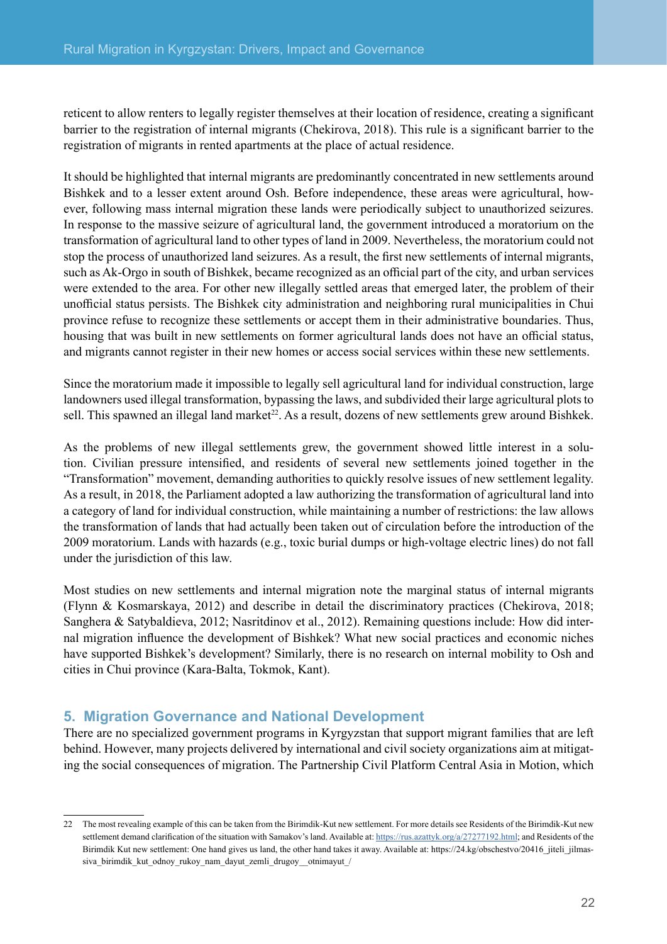<span id="page-22-0"></span>reticent to allow renters to legally register themselves at their location of residence, creating a significant barrier to the registration of internal migrants (Chekirova, 2018). This rule is a significant barrier to the registration of migrants in rented apartments at the place of actual residence.

It should be highlighted that internal migrants are predominantly concentrated in new settlements around Bishkek and to a lesser extent around Osh. Before independence, these areas were agricultural, however, following mass internal migration these lands were periodically subject to unauthorized seizures. In response to the massive seizure of agricultural land, the government introduced a moratorium on the transformation of agricultural land to other types of land in 2009. Nevertheless, the moratorium could not stop the process of unauthorized land seizures. As a result, the first new settlements of internal migrants, such as Ak-Orgo in south of Bishkek, became recognized as an official part of the city, and urban services were extended to the area. For other new illegally settled areas that emerged later, the problem of their unofficial status persists. The Bishkek city administration and neighboring rural municipalities in Chui province refuse to recognize these settlements or accept them in their administrative boundaries. Thus, housing that was built in new settlements on former agricultural lands does not have an official status, and migrants cannot register in their new homes or access social services within these new settlements.

Since the moratorium made it impossible to legally sell agricultural land for individual construction, large landowners used illegal transformation, bypassing the laws, and subdivided their large agricultural plots to sell. This spawned an illegal land market<sup>22</sup>. As a result, dozens of new settlements grew around Bishkek.

As the problems of new illegal settlements grew, the government showed little interest in a solution. Civilian pressure intensified, and residents of several new settlements joined together in the "Transformation" movement, demanding authorities to quickly resolve issues of new settlement legality. As a result, in 2018, the Parliament adopted a law authorizing the transformation of agricultural land into a category of land for individual construction, while maintaining a number of restrictions: the law allows the transformation of lands that had actually been taken out of circulation before the introduction of the 2009 moratorium. Lands with hazards (e.g., toxic burial dumps or high-voltage electric lines) do not fall under the jurisdiction of this law.

Most studies on new settlements and internal migration note the marginal status of internal migrants (Flynn & Kosmarskaya, 2012) and describe in detail the discriminatory practices (Chekirova, 2018; Sanghera & Satybaldieva, 2012; Nasritdinov et al., 2012). Remaining questions include: How did internal migration influence the development of Bishkek? What new social practices and economic niches have supported Bishkek's development? Similarly, there is no research on internal mobility to Osh and cities in Chui province (Kara-Balta, Tokmok, Kant).

### **5. Migration Governance and National Development**

There are no specialized government programs in Kyrgyzstan that support migrant families that are left behind. However, many projects delivered by international and civil society organizations aim at mitigating the social consequences of migration. The Partnership Civil Platform Central Asia in Motion, which

<sup>22</sup> The most revealing example of this can be taken from the Birimdik-Kut new settlement. For more details see Residents of the Birimdik-Kut new settlement demand clarification of the situation with Samakov's land. Available at:<https://rus.azattyk.org/a/27277192.html>; and Residents of the Birimdik Kut new settlement: One hand gives us land, the other hand takes it away. Available at: https://24.kg/obschestvo/20416\_jiteli\_jilmassiva\_birimdik\_kut\_odnoy\_rukoy\_nam\_dayut\_zemli\_drugoy\_\_otnimayut\_/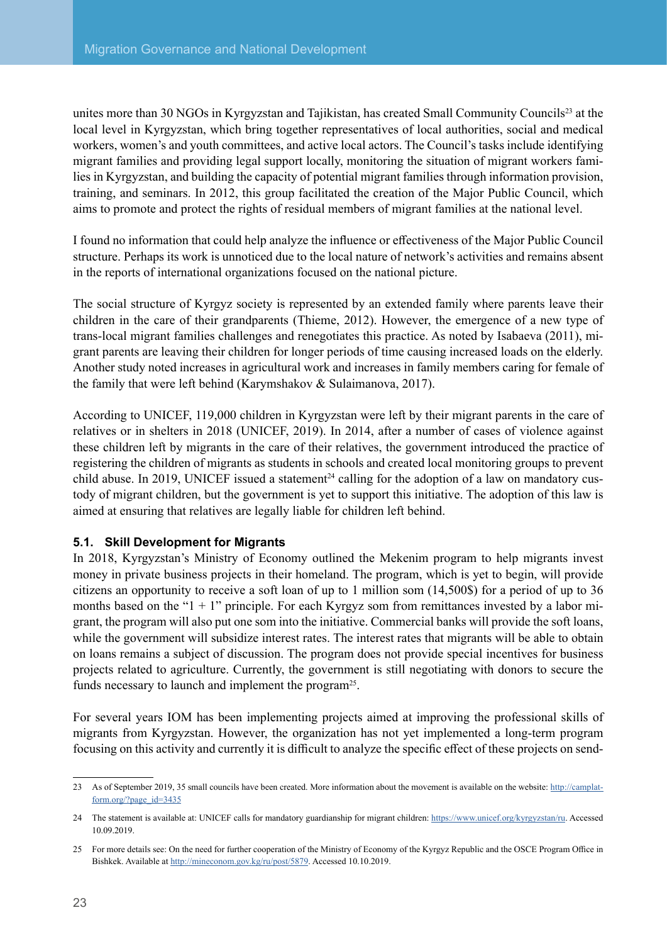<span id="page-23-0"></span>unites more than 30 NGOs in Kyrgyzstan and Tajikistan, has created Small Community Councils<sup>23</sup> at the local level in Kyrgyzstan, which bring together representatives of local authorities, social and medical workers, women's and youth committees, and active local actors. The Council's tasks include identifying migrant families and providing legal support locally, monitoring the situation of migrant workers families in Kyrgyzstan, and building the capacity of potential migrant families through information provision, training, and seminars. In 2012, this group facilitated the creation of the Major Public Council, which aims to promote and protect the rights of residual members of migrant families at the national level.

I found no information that could help analyze the influence or effectiveness of the Major Public Council structure. Perhaps its work is unnoticed due to the local nature of network's activities and remains absent in the reports of international organizations focused on the national picture.

The social structure of Kyrgyz society is represented by an extended family where parents leave their children in the care of their grandparents (Thieme, 2012). However, the emergence of a new type of trans-local migrant families challenges and renegotiates this practice. As noted by Isabaeva (2011), migrant parents are leaving their children for longer periods of time causing increased loads on the elderly. Another study noted increases in agricultural work and increases in family members caring for female of the family that were left behind (Karymshakov & Sulaimanova, 2017).

According to UNICEF, 119,000 children in Kyrgyzstan were left by their migrant parents in the care of relatives or in shelters in 2018 (UNICEF, 2019). In 2014, after a number of cases of violence against these children left by migrants in the care of their relatives, the government introduced the practice of registering the children of migrants as students in schools and created local monitoring groups to prevent child abuse. In 2019, UNICEF issued a statement<sup>24</sup> calling for the adoption of a law on mandatory custody of migrant children, but the government is yet to support this initiative. The adoption of this law is aimed at ensuring that relatives are legally liable for children left behind.

#### **5.1. Skill Development for Migrants**

In 2018, Kyrgyzstan's Ministry of Economy outlined the Mekenim program to help migrants invest money in private business projects in their homeland. The program, which is yet to begin, will provide citizens an opportunity to receive a soft loan of up to 1 million som (14,500\$) for a period of up to 36 months based on the " $1 + 1$ " principle. For each Kyrgyz som from remittances invested by a labor migrant, the program will also put one som into the initiative. Commercial banks will provide the soft loans, while the government will subsidize interest rates. The interest rates that migrants will be able to obtain on loans remains a subject of discussion. The program does not provide special incentives for business projects related to agriculture. Currently, the government is still negotiating with donors to secure the funds necessary to launch and implement the program<sup>25</sup>.

For several years IOM has been implementing projects aimed at improving the professional skills of migrants from Kyrgyzstan. However, the organization has not yet implemented a long-term program focusing on this activity and currently it is difficult to analyze the specific effect of these projects on send-

<sup>23</sup> As of September 2019, 35 small councils have been created. More information about the movement is available on the website: [http://camplat](http://camplatform.org/?page_id=3435)[form.org/?page\\_id=3435](http://camplatform.org/?page_id=3435)

<sup>24</sup> The statement is available at: UNICEF calls for mandatory guardianship for migrant children: [https://www.unicef.org/kyrgyzstan/ru.](https://www.unicef.org/kyrgyzstan/ru) Accessed 10.09.2019.

<sup>25</sup> For more details see: On the need for further cooperation of the Ministry of Economy of the Kyrgyz Republic and the OSCE Program Office in Bishkek. Available at<http://mineconom.gov.kg/ru/post/5879>. Accessed 10.10.2019.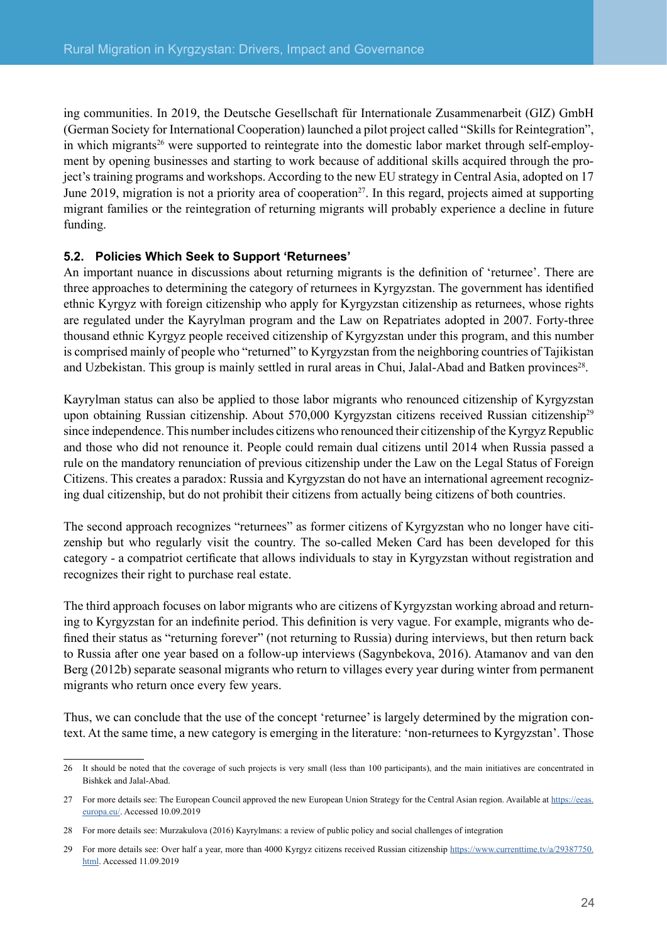<span id="page-24-0"></span>ing communities. In 2019, the Deutsche Gesellschaft für Internationale Zusammenarbeit (GIZ) GmbH (German Society for International Cooperation) launched a pilot project called "Skills for Reintegration", in which migrants<sup>26</sup> were supported to reintegrate into the domestic labor market through self-employment by opening businesses and starting to work because of additional skills acquired through the project's training programs and workshops. According to the new EU strategy in Central Asia, adopted on 17 June 2019, migration is not a priority area of cooperation<sup>27</sup>. In this regard, projects aimed at supporting migrant families or the reintegration of returning migrants will probably experience a decline in future funding.

#### **5.2. Policies Which Seek to Support 'Returnees'**

An important nuance in discussions about returning migrants is the definition of 'returnee'. There are three approaches to determining the category of returnees in Kyrgyzstan. The government has identified ethnic Kyrgyz with foreign citizenship who apply for Kyrgyzstan citizenship as returnees, whose rights are regulated under the Kayrylman program and the Law on Repatriates adopted in 2007. Forty-three thousand ethnic Kyrgyz people received citizenship of Kyrgyzstan under this program, and this number is comprised mainly of people who "returned" to Kyrgyzstan from the neighboring countries of Tajikistan and Uzbekistan. This group is mainly settled in rural areas in Chui, Jalal-Abad and Batken provinces<sup>28</sup>.

Kayrylman status can also be applied to those labor migrants who renounced citizenship of Kyrgyzstan upon obtaining Russian citizenship. About 570,000 Kyrgyzstan citizens received Russian citizenship<sup>29</sup> since independence. This number includes citizens who renounced their citizenship of the Kyrgyz Republic and those who did not renounce it. People could remain dual citizens until 2014 when Russia passed a rule on the mandatory renunciation of previous citizenship under the Law on the Legal Status of Foreign Citizens. This creates a paradox: Russia and Kyrgyzstan do not have an international agreement recognizing dual citizenship, but do not prohibit their citizens from actually being citizens of both countries.

The second approach recognizes "returnees" as former citizens of Kyrgyzstan who no longer have citizenship but who regularly visit the country. The so-called Meken Card has been developed for this category - a compatriot certificate that allows individuals to stay in Kyrgyzstan without registration and recognizes their right to purchase real estate.

The third approach focuses on labor migrants who are citizens of Kyrgyzstan working abroad and returning to Kyrgyzstan for an indefinite period. This definition is very vague. For example, migrants who defined their status as "returning forever" (not returning to Russia) during interviews, but then return back to Russia after one year based on a follow-up interviews (Sagynbekova, 2016). Atamanov and van den Berg (2012b) separate seasonal migrants who return to villages every year during winter from permanent migrants who return once every few years.

Thus, we can conclude that the use of the concept 'returnee' is largely determined by the migration context. At the same time, a new category is emerging in the literature: 'non-returnees to Kyrgyzstan'. Those

<sup>26</sup> It should be noted that the coverage of such projects is very small (less than 100 participants), and the main initiatives are concentrated in Bishkek and Jalal-Abad.

<sup>27</sup> For more details see: The European Council approved the new European Union Strategy for the Central Asian region. Available at [https://eeas.](https://eeas.europa.eu/) [europa.eu/](https://eeas.europa.eu/). Accessed 10.09.2019

<sup>28</sup> For more details see: Murzakulova (2016) Kayrylmans: a review of public policy and social challenges of integration

<sup>29</sup> For more details see: Over half a year, more than 4000 Kyrgyz citizens received Russian citizenship [https://www.currenttime.tv/a/29387750.](https://www.currenttime.tv/a/29387750.html) [html](https://www.currenttime.tv/a/29387750.html). Accessed 11.09.2019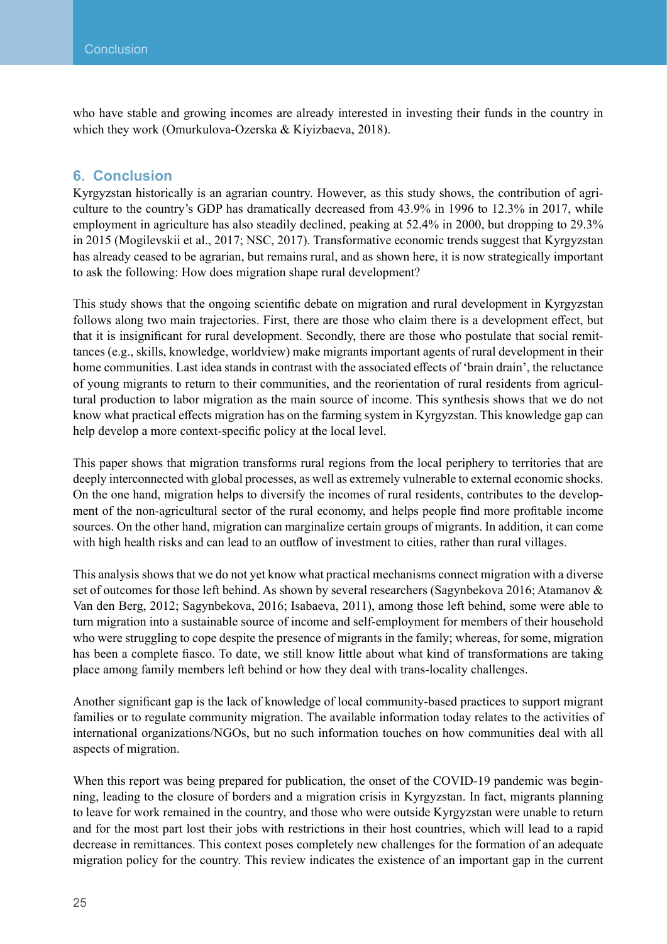<span id="page-25-0"></span>who have stable and growing incomes are already interested in investing their funds in the country in which they work (Omurkulova-Ozerska & Kiyizbaeva, 2018).

#### **6. Conclusion**

Kyrgyzstan historically is an agrarian country. However, as this study shows, the contribution of agriculture to the country's GDP has dramatically decreased from 43.9% in 1996 to 12.3% in 2017, while employment in agriculture has also steadily declined, peaking at 52.4% in 2000, but dropping to 29.3% in 2015 (Mogilevskii et al., 2017; NSC, 2017). Transformative economic trends suggest that Kyrgyzstan has already ceased to be agrarian, but remains rural, and as shown here, it is now strategically important to ask the following: How does migration shape rural development?

This study shows that the ongoing scientific debate on migration and rural development in Kyrgyzstan follows along two main trajectories. First, there are those who claim there is a development effect, but that it is insignificant for rural development. Secondly, there are those who postulate that social remittances (e.g., skills, knowledge, worldview) make migrants important agents of rural development in their home communities. Last idea stands in contrast with the associated effects of 'brain drain', the reluctance of young migrants to return to their communities, and the reorientation of rural residents from agricultural production to labor migration as the main source of income. This synthesis shows that we do not know what practical effects migration has on the farming system in Kyrgyzstan. This knowledge gap can help develop a more context-specific policy at the local level.

This paper shows that migration transforms rural regions from the local periphery to territories that are deeply interconnected with global processes, as well as extremely vulnerable to external economic shocks. On the one hand, migration helps to diversify the incomes of rural residents, contributes to the development of the non-agricultural sector of the rural economy, and helps people find more profitable income sources. On the other hand, migration can marginalize certain groups of migrants. In addition, it can come with high health risks and can lead to an outflow of investment to cities, rather than rural villages.

This analysis shows that we do not yet know what practical mechanisms connect migration with a diverse set of outcomes for those left behind. As shown by several researchers (Sagynbekova 2016; Atamanov & Van den Berg, 2012; Sagynbekova, 2016; Isabaeva, 2011), among those left behind, some were able to turn migration into a sustainable source of income and self-employment for members of their household who were struggling to cope despite the presence of migrants in the family; whereas, for some, migration has been a complete fiasco. To date, we still know little about what kind of transformations are taking place among family members left behind or how they deal with trans-locality challenges.

Another significant gap is the lack of knowledge of local community-based practices to support migrant families or to regulate community migration. The available information today relates to the activities of international organizations/NGOs, but no such information touches on how communities deal with all aspects of migration.

When this report was being prepared for publication, the onset of the COVID-19 pandemic was beginning, leading to the closure of borders and a migration crisis in Kyrgyzstan. In fact, migrants planning to leave for work remained in the country, and those who were outside Kyrgyzstan were unable to return and for the most part lost their jobs with restrictions in their host countries, which will lead to a rapid decrease in remittances. This context poses completely new challenges for the formation of an adequate migration policy for the country. This review indicates the existence of an important gap in the current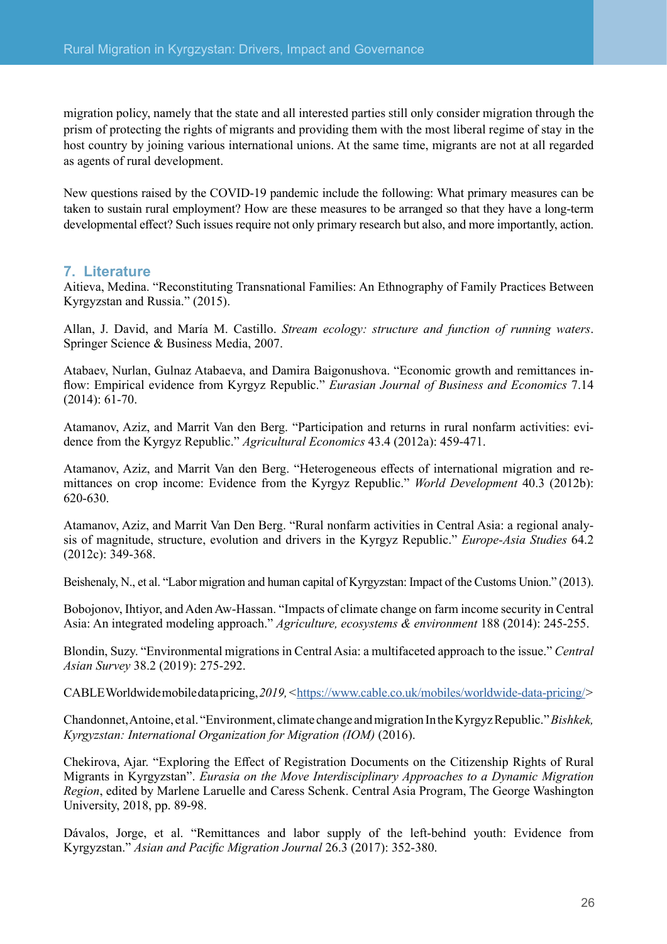<span id="page-26-0"></span>migration policy, namely that the state and all interested parties still only consider migration through the prism of protecting the rights of migrants and providing them with the most liberal regime of stay in the host country by joining various international unions. At the same time, migrants are not at all regarded as agents of rural development.

New questions raised by the COVID-19 pandemic include the following: What primary measures can be taken to sustain rural employment? How are these measures to be arranged so that they have a long-term developmental effect? Such issues require not only primary research but also, and more importantly, action.

#### **7. Literature**

Aitieva, Medina. "Reconstituting Transnational Families: An Ethnography of Family Practices Between Kyrgyzstan and Russia." (2015).

Allan, J. David, and María M. Castillo. *Stream ecology: structure and function of running waters*. Springer Science & Business Media, 2007.

Atabaev, Nurlan, Gulnaz Atabaeva, and Damira Baigonushova. "Economic growth and remittances inflow: Empirical evidence from Kyrgyz Republic." *Eurasian Journal of Business and Economics* 7.14 (2014): 61-70.

Atamanov, Aziz, and Marrit Van den Berg. "Participation and returns in rural nonfarm activities: evidence from the Kyrgyz Republic." *Agricultural Economics* 43.4 (2012a): 459-471.

Atamanov, Aziz, and Marrit Van den Berg. "Heterogeneous effects of international migration and remittances on crop income: Evidence from the Kyrgyz Republic." *World Development* 40.3 (2012b): 620-630.

Atamanov, Aziz, and Marrit Van Den Berg. "Rural nonfarm activities in Central Asia: a regional analysis of magnitude, structure, evolution and drivers in the Kyrgyz Republic." *Europe-Asia Studies* 64.2 (2012c): 349-368.

Beishenaly, N., et al. "Labor migration and human capital of Kyrgyzstan: Impact of the Customs Union." (2013).

Bobojonov, Ihtiyor, and Aden Aw-Hassan. "Impacts of climate change on farm income security in Central Asia: An integrated modeling approach." *Agriculture, ecosystems & environment* 188 (2014): 245-255.

Blondin, Suzy. "Environmental migrations in Central Asia: a multifaceted approach to the issue." *Central Asian Survey* 38.2 (2019): 275-292.

CABLE Worldwide mobile data pricing, *2019, <*<https://www.cable.co.uk/mobiles/worldwide-data-pricing/>*>*

Chandonnet, Antoine, et al. "Environment, climate change and migration In the Kyrgyz Republic."*Bishkek, Kyrgyzstan: International Organization for Migration (IOM)* (2016).

Chekirova, Ajar. "Exploring the Effect of Registration Documents on the Citizenship Rights of Rural Migrants in Kyrgyzstan". *Eurasia on the Move Interdisciplinary Approaches to a Dynamic Migration Region*, edited by Marlene Laruelle and Caress Schenk. Central Asia Program, The George Washington University, 2018, pp. 89-98.

Dávalos, Jorge, et al. "Remittances and labor supply of the left-behind youth: Evidence from Kyrgyzstan." *Asian and Pacific Migration Journal* 26.3 (2017): 352-380.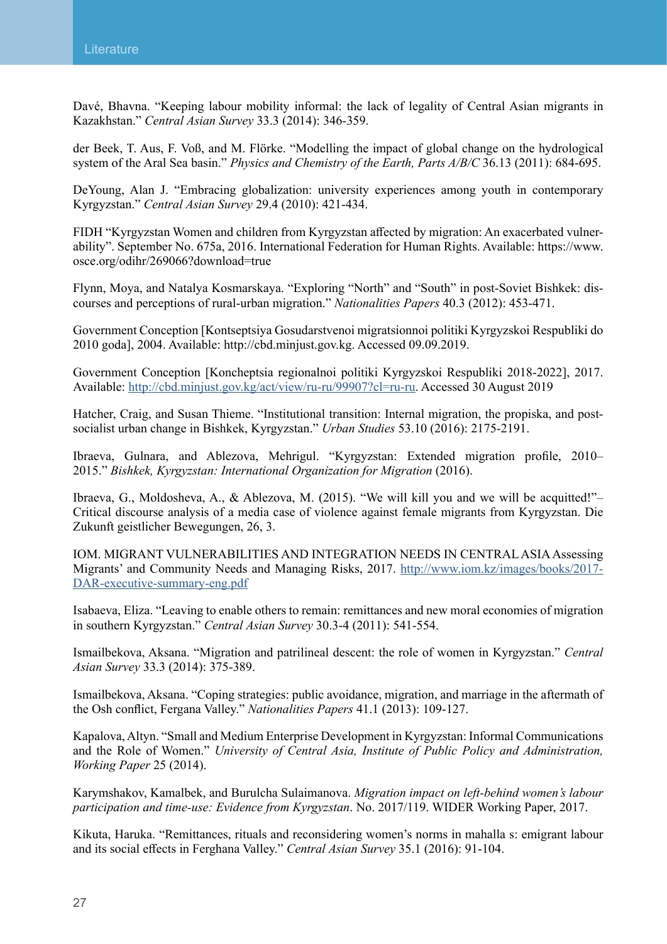Davé, Bhavna. "Keeping labour mobility informal: the lack of legality of Central Asian migrants in Kazakhstan." *Central Asian Survey* 33.3 (2014): 346-359.

der Beek, T. Aus, F. Voß, and M. Flörke. "Modelling the impact of global change on the hydrological system of the Aral Sea basin." *Physics and Chemistry of the Earth, Parts A/B/C* 36.13 (2011): 684-695.

DeYoung, Alan J. "Embracing globalization: university experiences among youth in contemporary Kyrgyzstan." *Central Asian Survey* 29.4 (2010): 421-434.

FIDH "Kyrgyzstan Women and children from Kyrgyzstan affected by migration: An exacerbated vulnerability". September No. 675a, 2016. International Federation for Human Rights. Available: [https://www.](https://www.osce.org/odihr/269066?download=true) [osce.org/odihr/269066?download=true](https://www.osce.org/odihr/269066?download=true)

Flynn, Moya, and Natalya Kosmarskaya. "Exploring "North" and "South" in post-Soviet Bishkek: discourses and perceptions of rural-urban migration." *Nationalities Papers* 40.3 (2012): 453-471.

Government Conception [Kontseptsiya Gosudarstvenoi migratsionnoi politiki Kyrgyzskoi Respubliki do 2010 goda], 2004. Available: [http://cbd.minjust.gov.kg](http://cbd.minjust.gov.kg/). Accessed 09.09.2019.

Government Conception [Koncheptsia regionalnoi politiki Kyrgyzskoi Respubliki 2018-2022], 2017. Available: [http://cbd.minjust.gov.kg/act/view/ru-ru/99907?cl=ru-ru.](http://cbd.minjust.gov.kg/act/view/ru-ru/99907?cl=ru-ru) Accessed 30 August 2019

Hatcher, Craig, and Susan Thieme. "Institutional transition: Internal migration, the propiska, and postsocialist urban change in Bishkek, Kyrgyzstan." *Urban Studies* 53.10 (2016): 2175-2191.

Ibraeva, Gulnara, and Ablezova, Mehrigul. "Kyrgyzstan: Extended migration profile, 2010– 2015." *Bishkek, Kyrgyzstan: International Organization for Migration* (2016).

Ibraeva, G., Moldosheva, A., & Ablezova, M. (2015). "We will kill you and we will be acquitted!"– Critical discourse analysis of a media case of violence against female migrants from Kyrgyzstan. Die Zukunft geistlicher Bewegungen, 26, 3.

IOM. MIGRANT VULNERABILITIES AND INTEGRATION NEEDS IN CENTRAL ASIA Assessing Migrants' and Community Needs and Managing Risks, 2017. [http://www.iom.kz/images/books/2017-](http://www.iom.kz/images/books/2017-DAR-executive-summary-eng.pdf) [DAR-executive-summary-eng.pdf](http://www.iom.kz/images/books/2017-DAR-executive-summary-eng.pdf)

Isabaeva, Eliza. "Leaving to enable others to remain: remittances and new moral economies of migration in southern Kyrgyzstan." *Central Asian Survey* 30.3-4 (2011): 541-554.

Ismailbekova, Aksana. "Migration and patrilineal descent: the role of women in Kyrgyzstan." *Central Asian Survey* 33.3 (2014): 375-389.

Ismailbekova, Aksana. "Coping strategies: public avoidance, migration, and marriage in the aftermath of the Osh conflict, Fergana Valley." *Nationalities Papers* 41.1 (2013): 109-127.

Kapalova, Altyn. "Small and Medium Enterprise Development in Kyrgyzstan: Informal Communications and the Role of Women." *University of Central Asia, Institute of Public Policy and Administration, Working Paper* 25 (2014).

Karymshakov, Kamalbek, and Burulcha Sulaimanova. *Migration impact on left-behind women's labour participation and time-use: Evidence from Kyrgyzstan*. No. 2017/119. WIDER Working Paper, 2017.

Kikuta, Haruka. "Remittances, rituals and reconsidering women's norms in mahalla s: emigrant labour and its social effects in Ferghana Valley." *Central Asian Survey* 35.1 (2016): 91-104.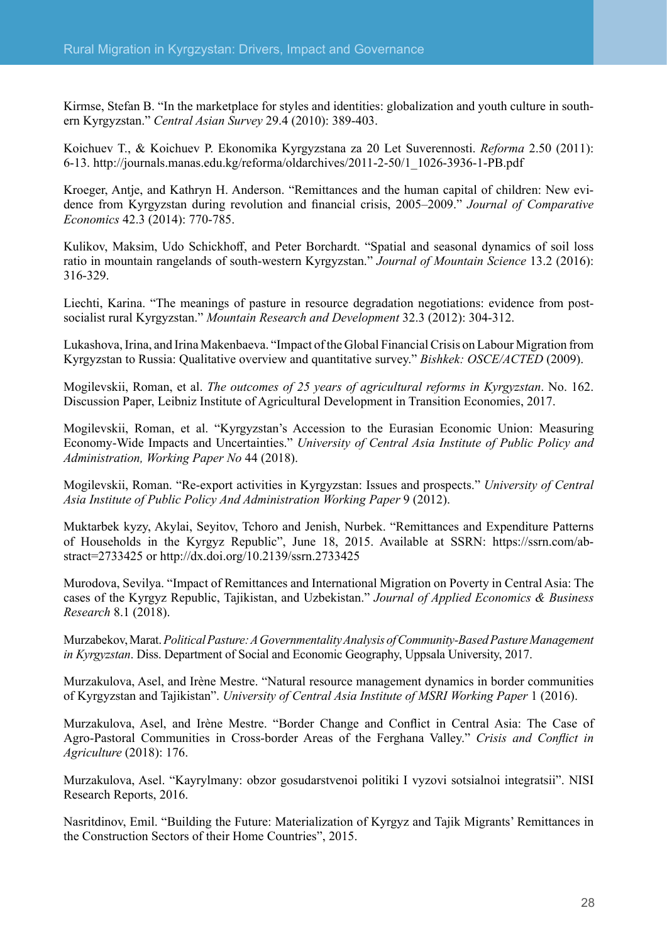Kirmse, Stefan B. "In the marketplace for styles and identities: globalization and youth culture in southern Kyrgyzstan." *Central Asian Survey* 29.4 (2010): 389-403.

Koichuev T., & Koichuev P. Ekonomika Kyrgyzstana za 20 Let Suverennosti. *Reforma* 2.50 (2011): 6-13. [http://journals.manas.edu.kg/reforma/oldarchives/2011-2-50/1\\_1026-3936-1-PB.pdf](http://journals.manas.edu.kg/reforma/oldarchives/2011-2-50/1_1026-3936-1-PB.pdf)

Kroeger, Antje, and Kathryn H. Anderson. "Remittances and the human capital of children: New evidence from Kyrgyzstan during revolution and financial crisis, 2005–2009." *Journal of Comparative Economics* 42.3 (2014): 770-785.

Kulikov, Maksim, Udo Schickhoff, and Peter Borchardt. "Spatial and seasonal dynamics of soil loss ratio in mountain rangelands of south-western Kyrgyzstan." *Journal of Mountain Science* 13.2 (2016): 316-329.

Liechti, Karina. "The meanings of pasture in resource degradation negotiations: evidence from postsocialist rural Kyrgyzstan." *Mountain Research and Development* 32.3 (2012): 304-312.

Lukashova, Irina, and Irina Makenbaeva. "Impact of the Global Financial Crisis on Labour Migration from Kyrgyzstan to Russia: Qualitative overview and quantitative survey." *Bishkek: OSCE/ACTED* (2009).

Mogilevskii, Roman, et al. *The outcomes of 25 years of agricultural reforms in Kyrgyzstan*. No. 162. Discussion Paper, Leibniz Institute of Agricultural Development in Transition Economies, 2017.

Mogilevskii, Roman, et al. "Kyrgyzstan's Accession to the Eurasian Economic Union: Measuring Economy-Wide Impacts and Uncertainties." *University of Central Asia Institute of Public Policy and Administration, Working Paper No* 44 (2018).

Mogilevskii, Roman. "Re-export activities in Kyrgyzstan: Issues and prospects." *University of Central Asia Institute of Public Policy And Administration Working Paper* 9 (2012).

Muktarbek kyzy, Akylai, Seyitov, Tchoro and Jenish, Nurbek. "Remittances and Expenditure Patterns of Households in the Kyrgyz Republic", June 18, 2015. Available at SSRN: [https://ssrn.com/ab](https://ssrn.com/abstract=2733425)[stract=2733425](https://ssrn.com/abstract=2733425) or [http://dx.doi.org/10.2139/ssrn.2733425](https://dx.doi.org/10.2139/ssrn.2733425)

Murodova, Sevilya. "Impact of Remittances and International Migration on Poverty in Central Asia: The cases of the Kyrgyz Republic, Tajikistan, and Uzbekistan." *Journal of Applied Economics & Business Research* 8.1 (2018).

Murzabekov, Marat.*Political Pasture: A Governmentality Analysis of Community-Based Pasture Management in Kyrgyzstan*. Diss. Department of Social and Economic Geography, Uppsala University, 2017.

Murzakulova, Asel, and Irène Mestre. "Natural resource management dynamics in border communities of Kyrgyzstan and Tajikistan". *University of Central Asia Institute of MSRI Working Paper* 1 (2016).

Murzakulova, Asel, and Irène Mestre. "Border Change and Conflict in Central Asia: The Case of Agro-Pastoral Communities in Cross-border Areas of the Ferghana Valley." *Crisis and Conflict in Agriculture* (2018): 176.

Murzakulova, Asel. "Kayrylmany: obzor gosudarstvenoi politiki I vyzovi sotsialnoi integratsii". NISI Research Reports, 2016.

Nasritdinov, Emil. "Building the Future: Materialization of Kyrgyz and Tajik Migrants' Remittances in the Construction Sectors of their Home Countries", 2015.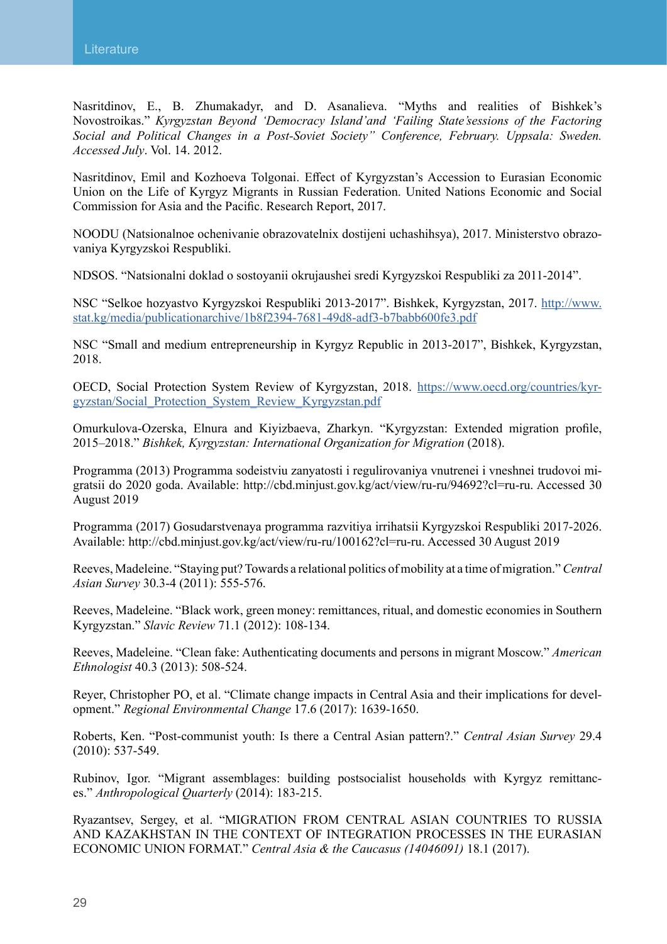Nasritdinov, E., B. Zhumakadyr, and D. Asanalieva. "Myths and realities of Bishkek's Novostroikas." *Kyrgyzstan Beyond 'Democracy Island'and 'Failing State'sessions of the Factoring Social and Political Changes in a Post-Soviet Society" Conference, February. Uppsala: Sweden. Accessed July*. Vol. 14. 2012.

Nasritdinov, Emil and Kozhoeva Tolgonai. Effect of Kyrgyzstan's Accession to Eurasian Economic Union on the Life of Kyrgyz Migrants in Russian Federation. United Nations Economic and Social Commission for Asia and the Pacific. Research Report, 2017.

NOODU (Natsionalnoe ochenivanie obrazovatelnix dostijeni uchashihsya), 2017. Ministerstvo obrazovaniya Kyrgyzskoi Respubliki.

NDSOS. "Natsionalni doklad o sostoyanii okrujaushei sredi Kyrgyzskoi Respubliki za 2011-2014".

NSC "Selkoe hozyastvo Kyrgyzskoi Respubliki 2013-2017". Bishkek, Kyrgyzstan, 2017. [http://www.](http://www.stat.kg/media/publicationarchive/1b8f2394-7681-49d8-adf3-b7babb600fe3.pdf) [stat.kg/media/publicationarchive/1b8f2394-7681-49d8-adf3-b7babb600fe3.pdf](http://www.stat.kg/media/publicationarchive/1b8f2394-7681-49d8-adf3-b7babb600fe3.pdf)

NSC "Small and medium entrepreneurship in Kyrgyz Republic in 2013-2017", Bishkek, Kyrgyzstan, 2018.

OECD, Social Protection System Review of Kyrgyzstan, 2018. [https://www.oecd.org/countries/kyr](https://www.oecd.org/countries/kyrgyzstan/Social_Protection_System_Review_Kyrgyzstan.pdf)[gyzstan/Social\\_Protection\\_System\\_Review\\_Kyrgyzstan.pdf](https://www.oecd.org/countries/kyrgyzstan/Social_Protection_System_Review_Kyrgyzstan.pdf)

Omurkulova-Ozerska, Elnura and Kiyizbaeva, Zharkyn. "Kyrgyzstan: Extended migration profile, 2015–2018." *Bishkek, Kyrgyzstan: International Organization for Migration* (2018).

Programma (2013) Programma sodeistviu zanyatosti i regulirovaniya vnutrenei i vneshnei trudovoi migratsii do 2020 goda. Available: <http://cbd.minjust.gov.kg/act/view/ru-ru/94692?cl=ru-ru>. Accessed 30 August 2019

Programma (2017) Gosudarstvenaya programma razvitiya irrihatsii Kyrgyzskoi Respubliki 2017-2026. Available: [http://cbd.minjust.gov.kg/act/view/ru-ru/100162?cl=ru-ru.](http://cbd.minjust.gov.kg/act/view/ru-ru/100162?cl=ru-ru) Accessed 30 August 2019

Reeves, Madeleine. "Staying put? Towards a relational politics of mobility at a time of migration."*Central Asian Survey* 30.3-4 (2011): 555-576.

Reeves, Madeleine. "Black work, green money: remittances, ritual, and domestic economies in Southern Kyrgyzstan." *Slavic Review* 71.1 (2012): 108-134.

Reeves, Madeleine. "Clean fake: Authenticating documents and persons in migrant Moscow." *American Ethnologist* 40.3 (2013): 508-524.

Reyer, Christopher PO, et al. "Climate change impacts in Central Asia and their implications for development." *Regional Environmental Change* 17.6 (2017): 1639-1650.

Roberts, Ken. "Post-communist youth: Is there a Central Asian pattern?." *Central Asian Survey* 29.4 (2010): 537-549.

Rubinov, Igor. "Migrant assemblages: building postsocialist households with Kyrgyz remittances." *Anthropological Quarterly* (2014): 183-215.

Ryazantsev, Sergey, et al. "MIGRATION FROM CENTRAL ASIAN COUNTRIES TO RUSSIA AND KAZAKHSTAN IN THE CONTEXT OF INTEGRATION PROCESSES IN THE EURASIAN ECONOMIC UNION FORMAT." *Central Asia & the Caucasus (14046091)* 18.1 (2017).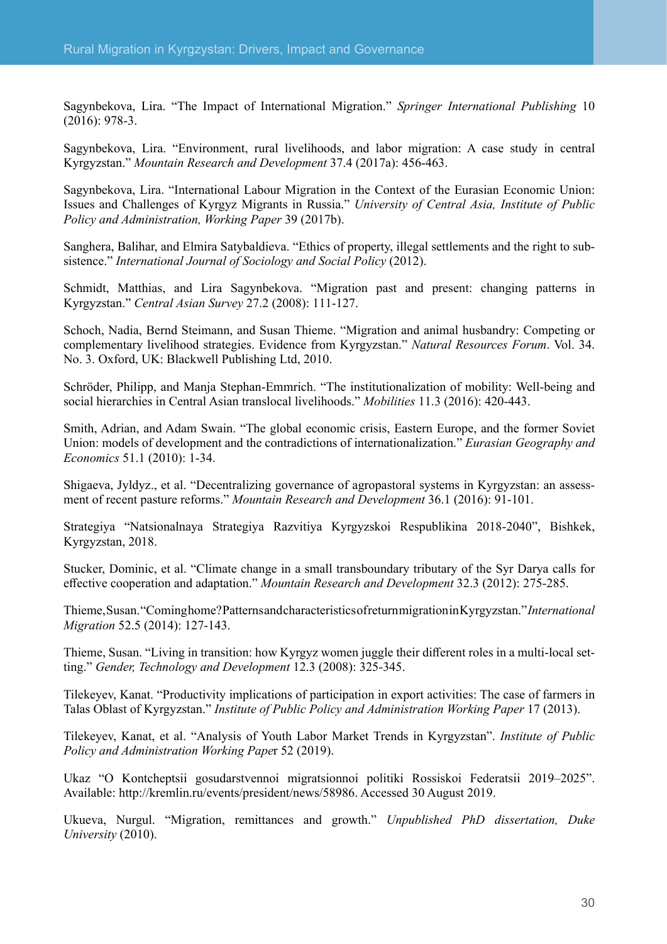Sagynbekova, Lira. "The Impact of International Migration." *Springer International Publishing* 10 (2016): 978-3.

Sagynbekova, Lira. "Environment, rural livelihoods, and labor migration: A case study in central Kyrgyzstan." *Mountain Research and Development* 37.4 (2017a): 456-463.

Sagynbekova, Lira. "International Labour Migration in the Context of the Eurasian Economic Union: Issues and Challenges of Kyrgyz Migrants in Russia." *University of Central Asia, Institute of Public Policy and Administration, Working Paper* 39 (2017b).

Sanghera, Balihar, and Elmira Satybaldieva. "Ethics of property, illegal settlements and the right to subsistence." *International Journal of Sociology and Social Policy* (2012).

Schmidt, Matthias, and Lira Sagynbekova. "Migration past and present: changing patterns in Kyrgyzstan." *Central Asian Survey* 27.2 (2008): 111-127.

Schoch, Nadia, Bernd Steimann, and Susan Thieme. "Migration and animal husbandry: Competing or complementary livelihood strategies. Evidence from Kyrgyzstan." *Natural Resources Forum*. Vol. 34. No. 3. Oxford, UK: Blackwell Publishing Ltd, 2010.

Schröder, Philipp, and Manja Stephan-Emmrich. "The institutionalization of mobility: Well-being and social hierarchies in Central Asian translocal livelihoods." *Mobilities* 11.3 (2016): 420-443.

Smith, Adrian, and Adam Swain. "The global economic crisis, Eastern Europe, and the former Soviet Union: models of development and the contradictions of internationalization." *Eurasian Geography and Economics* 51.1 (2010): 1-34.

Shigaeva, Jyldyz., et al. "Decentralizing governance of agropastoral systems in Kyrgyzstan: an assessment of recent pasture reforms." *Mountain Research and Development* 36.1 (2016): 91-101.

Strategiya "Natsionalnaya Strategiya Razvitiya Kyrgyzskoi Respublikina 2018-2040", Bishkek, Kyrgyzstan, 2018.

Stucker, Dominic, et al. "Climate change in a small transboundary tributary of the Syr Darya calls for effective cooperation and adaptation." *Mountain Research and Development* 32.3 (2012): 275-285.

Thieme, Susan. "Coming home? Patterns and characteristics of return migration in Kyrgyzstan."*International Migration* 52.5 (2014): 127-143.

Thieme, Susan. "Living in transition: how Kyrgyz women juggle their different roles in a multi-local setting." *Gender, Technology and Development* 12.3 (2008): 325-345.

Tilekeyev, Kanat. "Productivity implications of participation in export activities: The case of farmers in Talas Oblast of Kyrgyzstan." *Institute of Public Policy and Administration Working Paper* 17 (2013).

Tilekeyev, Kanat, et al. "Analysis of Youth Labor Market Trends in Kyrgyzstan". *Institute of Public Policy and Administration Working Pape*r 52 (2019).

Ukaz "O Kontcheptsii gosudarstvennoi migratsionnoi politiki Rossiskoi Federatsii 2019–2025". Available: [http://kremlin.ru/events/president/news/58986.](http://kremlin.ru/events/president/news/58986) Accessed 30 August 2019.

Ukueva, Nurgul. "Migration, remittances and growth." *Unpublished PhD dissertation, Duke University* (2010).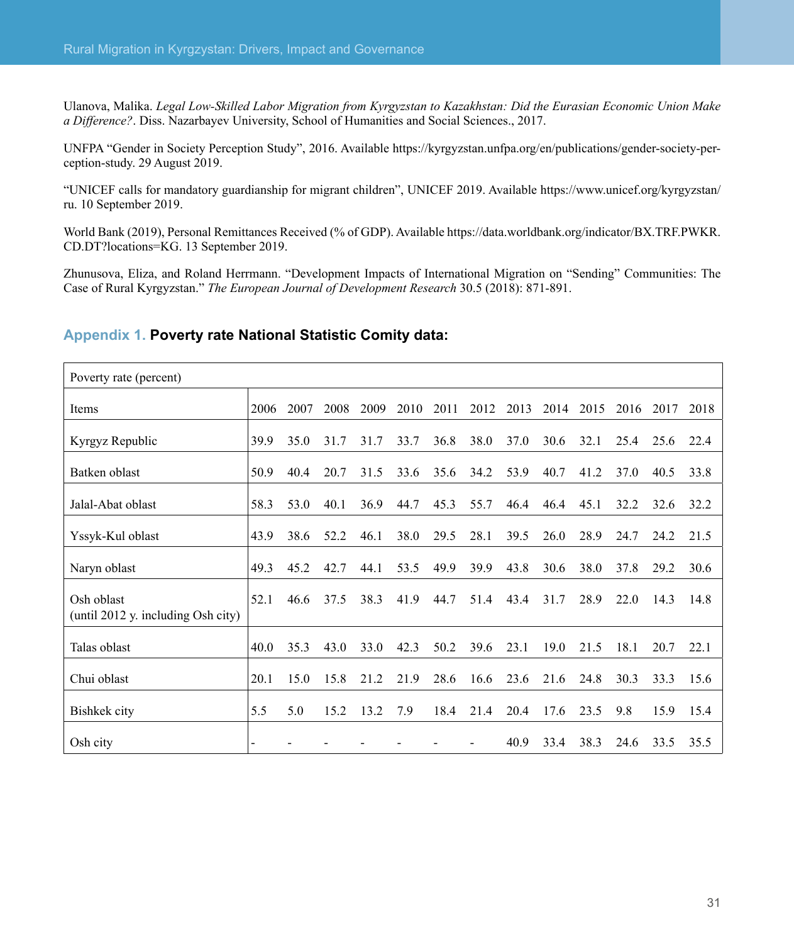Ulanova, Malika. *Legal Low-Skilled Labor Migration from Kyrgyzstan to Kazakhstan: Did the Eurasian Economic Union Make a Difference?*. Diss. Nazarbayev University, School of Humanities and Social Sciences., 2017.

UNFPA "Gender in Society Perception Study", 2016. Available [https://kyrgyzstan.unfpa.org/en/publications/gender-society-per](https://kyrgyzstan.unfpa.org/en/publications/gender-society-perception-study)[ception-study](https://kyrgyzstan.unfpa.org/en/publications/gender-society-perception-study). 29 August 2019.

"UNICEF calls for mandatory guardianship for migrant children", UNICEF 2019. Available [https://www.unicef.org/kyrgyzstan/](https://www.unicef.org/kyrgyzstan/ru) [ru](https://www.unicef.org/kyrgyzstan/ru). 10 September 2019.

World Bank (2019), Personal Remittances Received (% of GDP). Available [https://data.worldbank.org/indicator/BX.TRF.PWKR.](https://data.worldbank.org/indicator/BX.TRF.PWKR.CD.DT?locations=KG) [CD.DT?locations=KG.](https://data.worldbank.org/indicator/BX.TRF.PWKR.CD.DT?locations=KG) 13 September 2019.

Zhunusova, Eliza, and Roland Herrmann. "Development Impacts of International Migration on "Sending" Communities: The Case of Rural Kyrgyzstan." *The European Journal of Development Research* 30.5 (2018): 871-891.

#### **Appendix 1. Poverty rate National Statistic Comity data:**

| Poverty rate (percent)                           |      |      |      |      |      |      |      |      |      |      |      |      |      |
|--------------------------------------------------|------|------|------|------|------|------|------|------|------|------|------|------|------|
| Items                                            | 2006 | 2007 | 2008 | 2009 | 2010 | 2011 | 2012 | 2013 | 2014 | 2015 | 2016 | 2017 | 2018 |
| Kyrgyz Republic                                  | 39.9 | 35.0 | 31.7 | 31.7 | 33.7 | 36.8 | 38.0 | 37.0 | 30.6 | 32.1 | 25.4 | 25.6 | 22.4 |
| Batken oblast                                    | 50.9 | 40.4 | 20.7 | 31.5 | 33.6 | 35.6 | 34.2 | 53.9 | 40.7 | 41.2 | 37.0 | 40.5 | 33.8 |
| Jalal-Abat oblast                                | 58.3 | 53.0 | 40.1 | 36.9 | 44.7 | 45.3 | 55.7 | 46.4 | 46.4 | 45.1 | 32.2 | 32.6 | 32.2 |
| Yssyk-Kul oblast                                 | 43.9 | 38.6 | 52.2 | 46.1 | 38.0 | 29.5 | 28.1 | 39.5 | 26.0 | 28.9 | 24.7 | 24.2 | 21.5 |
| Naryn oblast                                     | 49.3 | 45.2 | 42.7 | 44.1 | 53.5 | 49.9 | 39.9 | 43.8 | 30.6 | 38.0 | 37.8 | 29.2 | 30.6 |
| Osh oblast<br>(until 2012 y. including Osh city) | 52.1 | 46.6 | 37.5 | 38.3 | 41.9 | 44.7 | 51.4 | 43.4 | 31.7 | 28.9 | 22.0 | 14.3 | 14.8 |
| Talas oblast                                     | 40.0 | 35.3 | 43.0 | 33.0 | 42.3 | 50.2 | 39.6 | 23.1 | 19.0 | 21.5 | 18.1 | 20.7 | 22.1 |
| Chui oblast                                      | 20.1 | 15.0 | 15.8 | 21.2 | 21.9 | 28.6 | 16.6 | 23.6 | 21.6 | 24.8 | 30.3 | 33.3 | 15.6 |
| Bishkek city                                     | 5.5  | 5.0  | 15.2 | 13.2 | 7.9  | 18.4 | 21.4 | 20.4 | 17.6 | 23.5 | 9.8  | 15.9 | 15.4 |
| Osh city                                         |      |      |      |      |      |      |      | 40.9 | 33.4 | 38.3 | 24.6 | 33.5 | 35.5 |